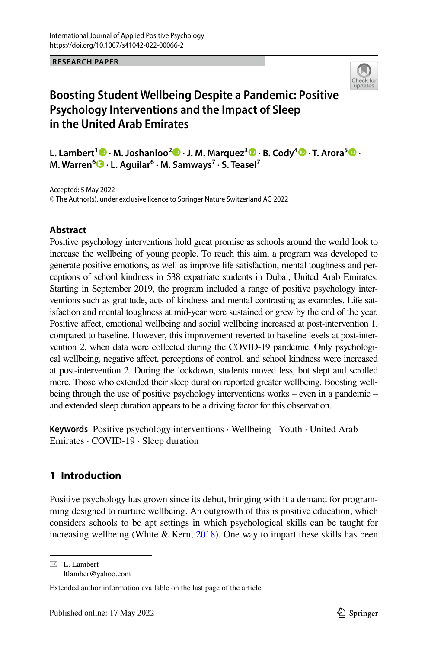**RESEARCH PAPER**



# **Boosting Student Wellbeing Despite a Pandemic: Positive Psychology Interventions and the Impact of Sleep in the United Arab Emirates**

**L. Lambert<sup>1</sup>  [·](http://orcid.org/0000-0003-4651-929X) M. Joshanloo[2](https://orcid.org/0000-0001-9350-6219) · J. M. Marquez[3](https://orcid.org/0000-0002-6304-4444) · B. Cody<sup>4</sup>  [·](https://orcid.org/0000-0002-1687-4592) T. Arora<sup>5</sup> · M. Warren6 · L. Aguilar6 · M. Samways<sup>7</sup> · S. Teasel7**

Accepted: 5 May 2022 © The Author(s), under exclusive licence to Springer Nature Switzerland AG 2022

### **Abstract**

Positive psychology interventions hold great promise as schools around the world look to increase the wellbeing of young people. To reach this aim, a program was developed to generate positive emotions, as well as improve life satisfaction, mental toughness and perceptions of school kindness in 538 expatriate students in Dubai, United Arab Emirates. Starting in September 2019, the program included a range of positive psychology interventions such as gratitude, acts of kindness and mental contrasting as examples. Life satisfaction and mental toughness at mid-year were sustained or grew by the end of the year. Positive afect, emotional wellbeing and social wellbeing increased at post-intervention 1, compared to baseline. However, this improvement reverted to baseline levels at post-intervention 2, when data were collected during the COVID-19 pandemic. Only psychological wellbeing, negative afect, perceptions of control, and school kindness were increased at post-intervention 2. During the lockdown, students moved less, but slept and scrolled more. Those who extended their sleep duration reported greater wellbeing. Boosting wellbeing through the use of positive psychology interventions works – even in a pandemic – and extended sleep duration appears to be a driving factor for this observation.

**Keywords** Positive psychology interventions · Wellbeing · Youth · United Arab Emirates · COVID-19 · Sleep duration

## **1 Introduction**

Positive psychology has grown since its debut, bringing with it a demand for programming designed to nurture wellbeing. An outgrowth of this is positive education, which considers schools to be apt settings in which psychological skills can be taught for increasing wellbeing (White  $&$  Kern, [2018\)](#page-28-0). One way to impart these skills has been

 $\boxtimes$  L. Lambert ltlamber@yahoo.com

Extended author information available on the last page of the article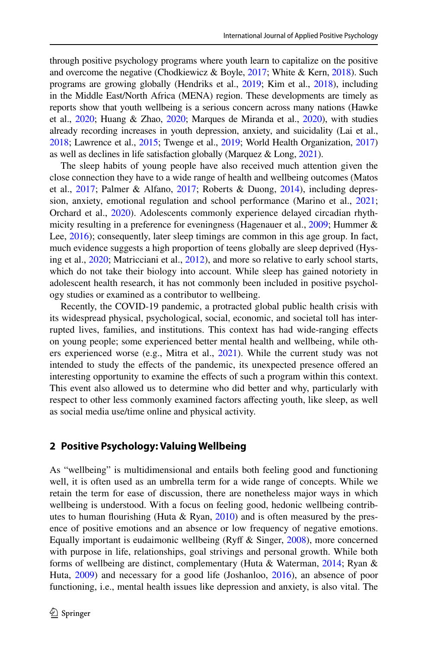through positive psychology programs where youth learn to capitalize on the positive and overcome the negative (Chodkiewicz & Boyle, [2017;](#page-20-0) White & Kern, [2018\)](#page-28-0). Such programs are growing globally (Hendriks et al., [2019](#page-22-0); Kim et al., [2018\)](#page-23-0), including in the Middle East/North Africa (MENA) region. These developments are timely as reports show that youth wellbeing is a serious concern across many nations (Hawke et al., [2020;](#page-22-1) Huang & Zhao, [2020;](#page-22-2) Marques de Miranda et al., [2020\)](#page-25-0), with studies already recording increases in youth depression, anxiety, and suicidality (Lai et al., [2018;](#page-24-0) Lawrence et al., [2015](#page-24-1); Twenge et al., [2019;](#page-28-1) World Health Organization, [2017](#page-28-2)) as well as declines in life satisfaction globally (Marquez & Long, [2021\)](#page-25-1).

The sleep habits of young people have also received much attention given the close connection they have to a wide range of health and wellbeing outcomes (Matos et al., [2017;](#page-25-2) Palmer & Alfano, [2017;](#page-26-0) Roberts & Duong, [2014\)](#page-27-0), including depression, anxiety, emotional regulation and school performance (Marino et al., [2021;](#page-25-3) Orchard et al., [2020](#page-26-1)). Adolescents commonly experience delayed circadian rhythmicity resulting in a preference for eveningness (Hagenauer et al., [2009](#page-22-3); Hummer & Lee, [2016](#page-22-4)); consequently, later sleep timings are common in this age group. In fact, much evidence suggests a high proportion of teens globally are sleep deprived (Hysing et al., [2020](#page-23-1); Matricciani et al., [2012](#page-25-4)), and more so relative to early school starts, which do not take their biology into account. While sleep has gained notoriety in adolescent health research, it has not commonly been included in positive psychology studies or examined as a contributor to wellbeing.

Recently, the COVID-19 pandemic, a protracted global public health crisis with its widespread physical, psychological, social, economic, and societal toll has interrupted lives, families, and institutions. This context has had wide-ranging efects on young people; some experienced better mental health and wellbeing, while others experienced worse (e.g., Mitra et al., [2021\)](#page-25-5). While the current study was not intended to study the efects of the pandemic, its unexpected presence ofered an interesting opportunity to examine the efects of such a program within this context. This event also allowed us to determine who did better and why, particularly with respect to other less commonly examined factors afecting youth, like sleep, as well as social media use/time online and physical activity.

### **2 Positive Psychology: Valuing Wellbeing**

As "wellbeing" is multidimensional and entails both feeling good and functioning well, it is often used as an umbrella term for a wide range of concepts. While we retain the term for ease of discussion, there are nonetheless major ways in which wellbeing is understood. With a focus on feeling good, hedonic wellbeing contributes to human flourishing (Huta & Ryan,  $2010$ ) and is often measured by the presence of positive emotions and an absence or low frequency of negative emotions. Equally important is eudaimonic wellbeing (Ryf & Singer, [2008\)](#page-27-1), more concerned with purpose in life, relationships, goal strivings and personal growth. While both forms of wellbeing are distinct, complementary (Huta & Waterman, [2014;](#page-23-3) Ryan & Huta, [2009\)](#page-27-2) and necessary for a good life (Joshanloo, [2016](#page-23-4)), an absence of poor functioning, i.e., mental health issues like depression and anxiety, is also vital. The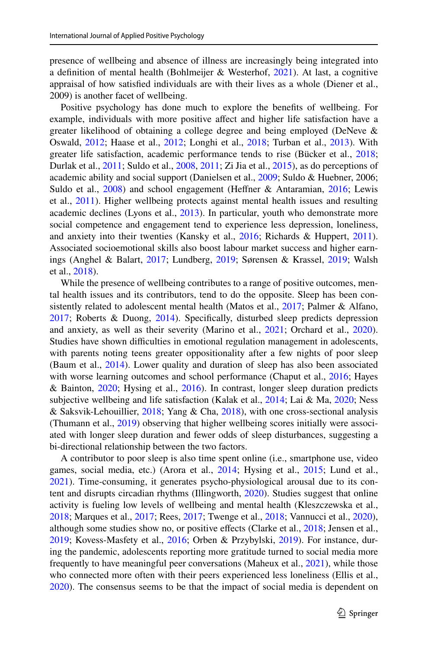presence of wellbeing and absence of illness are increasingly being integrated into a definition of mental health (Bohlmeijer & Westerhof,  $2021$ ). At last, a cognitive appraisal of how satisfed individuals are with their lives as a whole (Diener et al., 2009) is another facet of wellbeing.

Positive psychology has done much to explore the benefts of wellbeing. For example, individuals with more positive afect and higher life satisfaction have a greater likelihood of obtaining a college degree and being employed (DeNeve & Oswald, [2012](#page-21-0); Haase et al., [2012](#page-22-5); Longhi et al., [2018;](#page-24-2) Turban et al., [2013\)](#page-28-3). With greater life satisfaction, academic performance tends to rise (Bücker et al., [2018;](#page-20-1) Durlak et al., [2011](#page-21-1); Suldo et al., [2008,](#page-27-3) [2011;](#page-27-4) Zi Jia et al., [2015\)](#page-29-0), as do perceptions of academic ability and social support (Danielsen et al., [2009](#page-21-2); Suldo & Huebner, 2006; Suldo et al., [2008\)](#page-27-3) and school engagement (Heffner & Antaramian, [2016](#page-22-6); Lewis et al., [2011\)](#page-24-3). Higher wellbeing protects against mental health issues and resulting academic declines (Lyons et al., [2013\)](#page-25-6). In particular, youth who demonstrate more social competence and engagement tend to experience less depression, loneliness, and anxiety into their twenties (Kansky et al., [2016;](#page-23-5) Richards & Huppert, [2011\)](#page-27-5). Associated socioemotional skills also boost labour market success and higher earnings (Anghel & Balart, [2017;](#page-19-1) Lundberg, [2019](#page-24-4); Sørensen & Krassel, [2019;](#page-27-6) Walsh et al., [2018](#page-28-4)).

While the presence of wellbeing contributes to a range of positive outcomes, mental health issues and its contributors, tend to do the opposite. Sleep has been consistently related to adolescent mental health (Matos et al., [2017;](#page-25-2) Palmer & Alfano, [2017](#page-26-0); Roberts & Duong, [2014\)](#page-27-0). Specifcally, disturbed sleep predicts depression and anxiety, as well as their severity (Marino et al., [2021](#page-25-3); Orchard et al., [2020\)](#page-26-1). Studies have shown difficulties in emotional regulation management in adolescents, with parents noting teens greater oppositionality after a few nights of poor sleep (Baum et al., [2014](#page-19-2)). Lower quality and duration of sleep has also been associated with worse learning outcomes and school performance (Chaput et al., [2016;](#page-20-2) Hayes & Bainton, [2020;](#page-22-7) Hysing et al., [2016\)](#page-23-6). In contrast, longer sleep duration predicts subjective wellbeing and life satisfaction (Kalak et al., [2014](#page-23-7); Lai & Ma, [2020](#page-24-5); Ness & Saksvik-Lehouillier, [2018;](#page-26-2) Yang & Cha, [2018](#page-29-1)), with one cross-sectional analysis (Thumann et al., [2019](#page-28-5)) observing that higher wellbeing scores initially were associated with longer sleep duration and fewer odds of sleep disturbances, suggesting a bi-directional relationship between the two factors.

A contributor to poor sleep is also time spent online (i.e., smartphone use, video games, social media, etc.) (Arora et al., [2014](#page-19-3); Hysing et al., [2015;](#page-23-8) Lund et al., [2021](#page-24-6)). Time-consuming, it generates psycho-physiological arousal due to its content and disrupts circadian rhythms (Illingworth, [2020\)](#page-23-9). Studies suggest that online activity is fueling low levels of wellbeing and mental health (Kleszczewska et al., [2018](#page-23-10); Marques et al., [2017](#page-25-7); Rees, [2017](#page-26-3); Twenge et al., [2018](#page-28-6); Vannucci et al., [2020\)](#page-28-7), although some studies show no, or positive efects (Clarke et al., [2018;](#page-20-3) Jensen et al., [2019](#page-23-11); Kovess-Masfety et al., [2016;](#page-24-7) Orben & Przybylski, [2019](#page-26-4)). For instance, during the pandemic, adolescents reporting more gratitude turned to social media more frequently to have meaningful peer conversations (Maheux et al., [2021\)](#page-25-8), while those who connected more often with their peers experienced less loneliness (Ellis et al., [2020](#page-21-3)). The consensus seems to be that the impact of social media is dependent on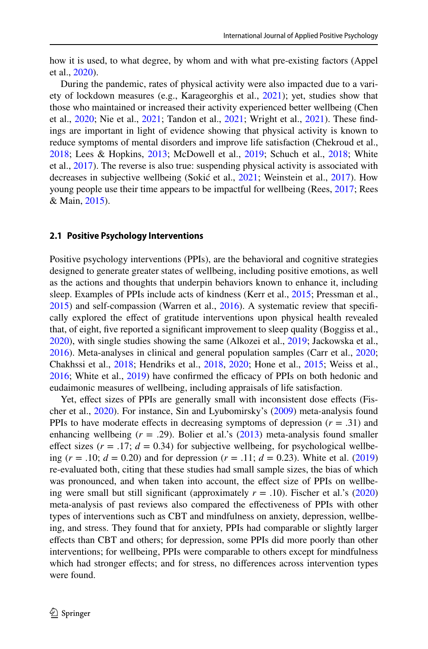how it is used, to what degree, by whom and with what pre-existing factors (Appel et al., [2020](#page-19-4)).

During the pandemic, rates of physical activity were also impacted due to a variety of lockdown measures (e.g., Karageorghis et al., [2021\)](#page-23-12); yet, studies show that those who maintained or increased their activity experienced better wellbeing (Chen et al., [2020;](#page-20-4) Nie et al., [2021;](#page-26-5) Tandon et al., [2021;](#page-28-8) Wright et al., [2021](#page-29-2)). These fndings are important in light of evidence showing that physical activity is known to reduce symptoms of mental disorders and improve life satisfaction (Chekroud et al., [2018](#page-20-5); Lees & Hopkins, [2013;](#page-24-8) McDowell et al., [2019](#page-25-9); Schuch et al., [2018](#page-27-7); White et al., [2017](#page-28-9)). The reverse is also true: suspending physical activity is associated with decreases in subjective wellbeing (Sokić et al., [2021;](#page-27-8) Weinstein et al., [2017](#page-28-10)). How young people use their time appears to be impactful for wellbeing (Rees, [2017;](#page-26-3) Rees & Main, [2015](#page-27-9)).

#### **2.1 Positive Psychology Interventions**

Positive psychology interventions (PPIs), are the behavioral and cognitive strategies designed to generate greater states of wellbeing, including positive emotions, as well as the actions and thoughts that underpin behaviors known to enhance it, including sleep. Examples of PPIs include acts of kindness (Kerr et al., [2015;](#page-23-13) Pressman et al., [2015](#page-26-6)) and self-compassion (Warren et al., [2016\)](#page-28-11). A systematic review that specifcally explored the efect of gratitude interventions upon physical health revealed that, of eight, fve reported a signifcant improvement to sleep quality (Boggiss et al., [2020](#page-19-5)), with single studies showing the same (Alkozei et al., [2019](#page-19-6); Jackowska et al., [2016](#page-23-14)). Meta-analyses in clinical and general population samples (Carr et al., [2020;](#page-20-6) Chakhssi et al., [2018](#page-20-7); Hendriks et al., [2018](#page-22-8), [2020](#page-22-9); Hone et al., [2015](#page-22-10); Weiss et al.,  $2016$ ; White et al.,  $2019$ ) have confirmed the efficacy of PPIs on both hedonic and eudaimonic measures of wellbeing, including appraisals of life satisfaction.

Yet, effect sizes of PPIs are generally small with inconsistent dose effects (Fischer et al., [2020\)](#page-21-4). For instance, Sin and Lyubomirsky's [\(2009](#page-27-10)) meta-analysis found PPIs to have moderate effects in decreasing symptoms of depression  $(r = .31)$  and enhancing wellbeing (*r* = .29). Bolier et al.'s [\(2013](#page-20-8)) meta-analysis found smaller effect sizes  $(r = .17; d = 0.34)$  for subjective wellbeing, for psychological wellbeing ( $r = .10$ ;  $d = 0.20$ ) and for depression ( $r = .11$ ;  $d = 0.23$ ). White et al. [\(2019](#page-28-13)) re-evaluated both, citing that these studies had small sample sizes, the bias of which was pronounced, and when taken into account, the efect size of PPIs on wellbeing were small but still significant (approximately  $r = .10$ ). Fischer et al.'s [\(2020](#page-21-4)) meta-analysis of past reviews also compared the efectiveness of PPIs with other types of interventions such as CBT and mindfulness on anxiety, depression, wellbeing, and stress. They found that for anxiety, PPIs had comparable or slightly larger efects than CBT and others; for depression, some PPIs did more poorly than other interventions; for wellbeing, PPIs were comparable to others except for mindfulness which had stronger effects; and for stress, no differences across intervention types were found.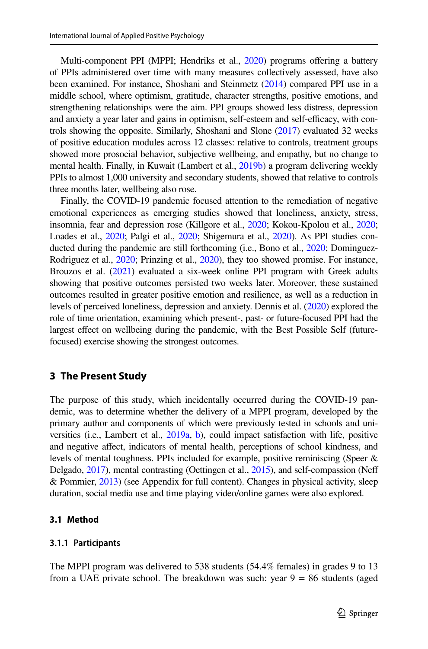Multi-component PPI (MPPI; Hendriks et al., [2020](#page-22-9)) programs offering a battery of PPIs administered over time with many measures collectively assessed, have also been examined. For instance, Shoshani and Steinmetz ([2014](#page-27-11)) compared PPI use in a middle school, where optimism, gratitude, character strengths, positive emotions, and strengthening relationships were the aim. PPI groups showed less distress, depression and anxiety a year later and gains in optimism, self-esteem and self-efficacy, with controls showing the opposite. Similarly, Shoshani and Slone ([2017\)](#page-27-12) evaluated 32 weeks of positive education modules across 12 classes: relative to controls, treatment groups showed more prosocial behavior, subjective wellbeing, and empathy, but no change to mental health. Finally, in Kuwait (Lambert et al., [2019b\)](#page-24-9) a program delivering weekly PPIs to almost 1,000 university and secondary students, showed that relative to controls three months later, wellbeing also rose.

Finally, the COVID-19 pandemic focused attention to the remediation of negative emotional experiences as emerging studies showed that loneliness, anxiety, stress, insomnia, fear and depression rose (Killgore et al., [2020;](#page-23-15) Kokou-Kpolou et al., [2020;](#page-23-16) Loades et al., [2020;](#page-24-10) Palgi et al., [2020;](#page-26-7) Shigemura et al., [2020](#page-27-13)). As PPI studies conducted during the pandemic are still forthcoming (i.e., Bono et al., [2020](#page-20-9); Dominguez-Rodriguez et al., [2020;](#page-21-5) Prinzing et al., [2020\)](#page-26-8), they too showed promise. For instance, Brouzos et al. ([2021](#page-20-10)) evaluated a six-week online PPI program with Greek adults showing that positive outcomes persisted two weeks later. Moreover, these sustained outcomes resulted in greater positive emotion and resilience, as well as a reduction in levels of perceived loneliness, depression and anxiety. Dennis et al. [\(2020\)](#page-21-6) explored the role of time orientation, examining which present-, past- or future-focused PPI had the largest efect on wellbeing during the pandemic, with the Best Possible Self (futurefocused) exercise showing the strongest outcomes.

#### **3 The Present Study**

The purpose of this study, which incidentally occurred during the COVID-19 pandemic, was to determine whether the delivery of a MPPI program, developed by the primary author and components of which were previously tested in schools and universities (i.e., Lambert et al., [2019a,](#page-24-11) [b\)](#page-24-9), could impact satisfaction with life, positive and negative afect, indicators of mental health, perceptions of school kindness, and levels of mental toughness. PPIs included for example, positive reminiscing (Speer & Delgado, [2017](#page-27-14)), mental contrasting (Oettingen et al., [2015\)](#page-26-9), and self-compassion (Neff & Pommier, [2013](#page-26-10)) (see Appendix for full content). Changes in physical activity, sleep duration, social media use and time playing video/online games were also explored.

#### **3.1 Method**

#### **3.1.1 Participants**

The MPPI program was delivered to 538 students (54.4% females) in grades 9 to 13 from a UAE private school. The breakdown was such: year  $9 = 86$  students (aged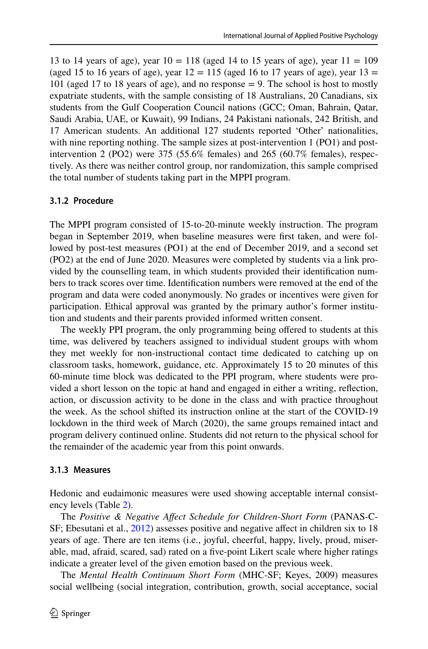13 to 14 years of age), year  $10 = 118$  (aged 14 to 15 years of age), year  $11 = 109$ (aged 15 to 16 years of age), year  $12 = 115$  (aged 16 to 17 years of age), year  $13 =$ 101 (aged 17 to 18 years of age), and no response = 9. The school is host to mostly expatriate students, with the sample consisting of 18 Australians, 20 Canadians, six students from the Gulf Cooperation Council nations (GCC; Oman, Bahrain, Qatar, Saudi Arabia, UAE, or Kuwait), 99 Indians, 24 Pakistani nationals, 242 British, and 17 American students. An additional 127 students reported 'Other' nationalities, with nine reporting nothing. The sample sizes at post-intervention 1 (PO1) and postintervention 2 (PO2) were 375 (55.6% females) and 265 (60.7% females), respectively. As there was neither control group, nor randomization, this sample comprised the total number of students taking part in the MPPI program.

#### **3.1.2 Procedure**

The MPPI program consisted of 15-to-20-minute weekly instruction. The program began in September 2019, when baseline measures were frst taken, and were followed by post-test measures (PO1) at the end of December 2019, and a second set (PO2) at the end of June 2020. Measures were completed by students via a link provided by the counselling team, in which students provided their identifcation numbers to track scores over time. Identifcation numbers were removed at the end of the program and data were coded anonymously. No grades or incentives were given for participation. Ethical approval was granted by the primary author's former institution and students and their parents provided informed written consent.

The weekly PPI program, the only programming being offered to students at this time, was delivered by teachers assigned to individual student groups with whom they met weekly for non-instructional contact time dedicated to catching up on classroom tasks, homework, guidance, etc. Approximately 15 to 20 minutes of this 60-minute time block was dedicated to the PPI program, where students were provided a short lesson on the topic at hand and engaged in either a writing, refection, action, or discussion activity to be done in the class and with practice throughout the week. As the school shifted its instruction online at the start of the COVID-19 lockdown in the third week of March (2020), the same groups remained intact and program delivery continued online. Students did not return to the physical school for the remainder of the academic year from this point onwards.

#### **3.1.3 Measures**

Hedonic and eudaimonic measures were used showing acceptable internal consistency levels (Table [2](#page-9-0)).

The *Positive & Negative Afect Schedule for Children-Short Form* (PANAS-C-SF; Ebesutani et al., [2012](#page-21-7)) assesses positive and negative affect in children six to 18 years of age. There are ten items (i.e., joyful, cheerful, happy, lively, proud, miserable, mad, afraid, scared, sad) rated on a fve-point Likert scale where higher ratings indicate a greater level of the given emotion based on the previous week.

The *Mental Health Continuum Short Form* (MHC-SF; Keyes, 2009) measures social wellbeing (social integration, contribution, growth, social acceptance, social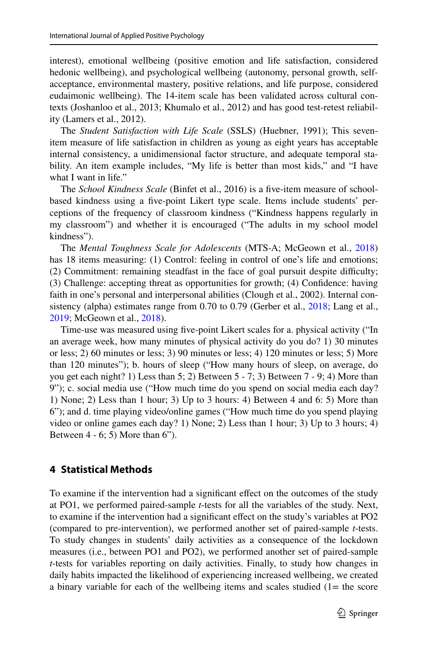interest), emotional wellbeing (positive emotion and life satisfaction, considered hedonic wellbeing), and psychological wellbeing (autonomy, personal growth, selfacceptance, environmental mastery, positive relations, and life purpose, considered eudaimonic wellbeing). The 14-item scale has been validated across cultural contexts (Joshanloo et al., 2013; Khumalo et al., 2012) and has good test-retest reliability (Lamers et al., 2012).

The *Student Satisfaction with Life Scale* (SSLS) (Huebner, 1991); This sevenitem measure of life satisfaction in children as young as eight years has acceptable internal consistency, a unidimensional factor structure, and adequate temporal stability. An item example includes, "My life is better than most kids," and "I have what I want in life."

The *School Kindness Scale* (Binfet et al., 2016) is a fve-item measure of schoolbased kindness using a fve-point Likert type scale. Items include students' perceptions of the frequency of classroom kindness ("Kindness happens regularly in my classroom") and whether it is encouraged ("The adults in my school model kindness").

The *Mental Toughness Scale for Adolescents* (MTS-A; McGeown et al., [2018\)](#page-25-10) has 18 items measuring: (1) Control: feeling in control of one's life and emotions; (2) Commitment: remaining steadfast in the face of goal pursuit despite difculty; (3) Challenge: accepting threat as opportunities for growth; (4) Confdence: having faith in one's personal and interpersonal abilities (Clough et al., 2002). Internal consistency (alpha) estimates range from 0.70 to 0.79 (Gerber et al., [2018;](#page-22-11) Lang et al., [2019](#page-24-12); McGeown et al., [2018](#page-25-10)).

Time-use was measured using fve-point Likert scales for a. physical activity ("In an average week, how many minutes of physical activity do you do? 1) 30 minutes or less; 2) 60 minutes or less; 3) 90 minutes or less; 4) 120 minutes or less; 5) More than 120 minutes"); b. hours of sleep ("How many hours of sleep, on average, do you get each night? 1) Less than 5; 2) Between 5 - 7; 3) Between 7 - 9; 4) More than 9"); c. social media use ("How much time do you spend on social media each day? 1) None; 2) Less than 1 hour; 3) Up to 3 hours: 4) Between 4 and 6: 5) More than 6"); and d. time playing video/online games ("How much time do you spend playing video or online games each day? 1) None; 2) Less than 1 hour; 3) Up to 3 hours; 4) Between 4 - 6; 5) More than 6").

#### **4 Statistical Methods**

To examine if the intervention had a signifcant efect on the outcomes of the study at PO1, we performed paired-sample *t*-tests for all the variables of the study. Next, to examine if the intervention had a signifcant efect on the study's variables at PO2 (compared to pre-intervention), we performed another set of paired-sample *t*-tests. To study changes in students' daily activities as a consequence of the lockdown measures (i.e., between PO1 and PO2), we performed another set of paired-sample *t*-tests for variables reporting on daily activities. Finally, to study how changes in daily habits impacted the likelihood of experiencing increased wellbeing, we created a binary variable for each of the wellbeing items and scales studied  $(1=$  the score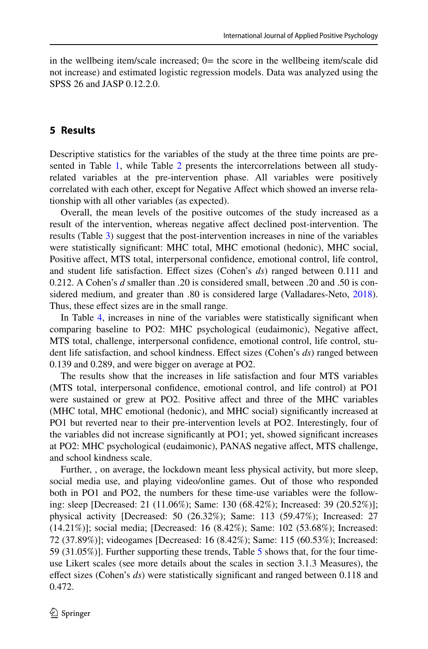in the wellbeing item/scale increased;  $0=$  the score in the wellbeing item/scale did not increase) and estimated logistic regression models. Data was analyzed using the SPSS 26 and JASP 0.12.2.0.

### **5 Results**

Descriptive statistics for the variables of the study at the three time points are pre-sented in Table [1](#page-8-0), while Table [2](#page-9-0) presents the intercorrelations between all studyrelated variables at the pre-intervention phase. All variables were positively correlated with each other, except for Negative Affect which showed an inverse relationship with all other variables (as expected).

Overall, the mean levels of the positive outcomes of the study increased as a result of the intervention, whereas negative afect declined post-intervention. The results (Table [3](#page-10-0)) suggest that the post-intervention increases in nine of the variables were statistically signifcant: MHC total, MHC emotional (hedonic), MHC social, Positive afect, MTS total, interpersonal confdence, emotional control, life control, and student life satisfaction. Efect sizes (Cohen's *ds*) ranged between 0.111 and 0.212. A Cohen's *d* smaller than .20 is considered small, between .20 and .50 is considered medium, and greater than .80 is considered large (Valladares-Neto, [2018\)](#page-28-14). Thus, these effect sizes are in the small range.

In Table [4,](#page-10-1) increases in nine of the variables were statistically signifcant when comparing baseline to PO2: MHC psychological (eudaimonic), Negative afect, MTS total, challenge, interpersonal confdence, emotional control, life control, student life satisfaction, and school kindness. Efect sizes (Cohen's *ds*) ranged between 0.139 and 0.289, and were bigger on average at PO2.

The results show that the increases in life satisfaction and four MTS variables (MTS total, interpersonal confdence, emotional control, and life control) at PO1 were sustained or grew at PO2. Positive affect and three of the MHC variables (MHC total, MHC emotional (hedonic), and MHC social) signifcantly increased at PO1 but reverted near to their pre-intervention levels at PO2. Interestingly, four of the variables did not increase signifcantly at PO1; yet, showed signifcant increases at PO2: MHC psychological (eudaimonic), PANAS negative afect, MTS challenge, and school kindness scale.

Further, , on average, the lockdown meant less physical activity, but more sleep, social media use, and playing video/online games. Out of those who responded both in PO1 and PO2, the numbers for these time-use variables were the following: sleep [Decreased: 21 (11.06%); Same: 130 (68.42%); Increased: 39 (20.52%)]; physical activity [Decreased: 50 (26.32%); Same: 113 (59.47%); Increased: 27 (14.21%)]; social media; [Decreased: 16 (8.42%); Same: 102 (53.68%); Increased: 72 (37.89%)]; videogames [Decreased: 16 (8.42%); Same: 115 (60.53%); Increased: 59 (31.05%)]. Further supporting these trends, Table [5](#page-11-0) shows that, for the four timeuse Likert scales (see more details about the scales in section 3.1.3 Measures), the efect sizes (Cohen's *ds*) were statistically signifcant and ranged between 0.118 and 0.472.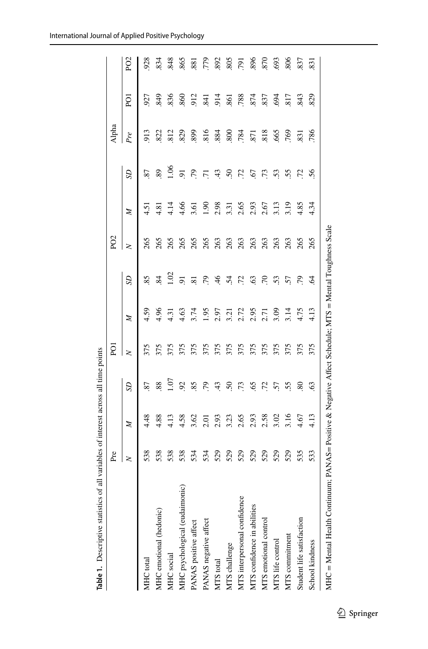<span id="page-8-0"></span>

|                                | Pre    |      |                | ā      |               |                       | P <sub>O</sub> <sub>2</sub> |                                      |                 | Alpha |            |            |
|--------------------------------|--------|------|----------------|--------|---------------|-----------------------|-----------------------------|--------------------------------------|-----------------|-------|------------|------------|
|                                | $\geq$ | Z    | SD             | $\geq$ | Z             | SD                    | $\geq$                      | Z                                    | SD              | Pre   | ā          | g          |
| MHC total                      | 538    | 4.48 | 2              | 375    | 4.59          | 85                    | 265                         | $-4.5$                               | 87              | 913   | 927        | 928        |
| MHC emotional (hedonic)        | 538    | 4.88 | 88             | 375    | 4.96          | 84                    | 265                         | 4.81                                 | 89              | 822   | 849        | 834        |
| MHC social                     | 538    | 4.13 | $\sum$         | 375    | $\frac{3}{4}$ | $\sum$                | 265                         | 4.14                                 | 1.06            |       | 836        | .848       |
| MHC psychological (eudaimonic) | 538    | 4.58 | $\overline{6}$ | 375    | 4.63          | $\overline{5}$        | 265                         | 4.66                                 | $\overline{5}$  | 829   | 860        | .865       |
| PANAS positive affect          | 534    | 3.62 | 85             | 375    | 3.74          | $\overline{81}$       | 265                         | 3.61                                 | 79              | 899   | 912        | 88         |
| PANAS negative affect          | 534    | 2.01 | 79             | 375    | 1.95          | P.                    | 265                         | $\overline{1.90}$                    | $\overline{71}$ | .816  | .841       | 779        |
| MTS total                      | 529    | 2.93 | 43             | 375    | 2.97          | $\frac{4}{6}$         | 263                         | 2.98                                 | 43              | .884  | .914       | .892       |
| MTS challenge                  | 529    | 3.23 | 50             | 375    | 3.21          | $\dot{5}$             | 263                         |                                      | $\dot{5}$       | 800   | .861       | 805        |
| MTS interpersonal confidence   | 529    | 2.65 | 73             | 375    |               | $\ddot{c}$            | 263                         |                                      | 72              | 784   | .788       | <b>16L</b> |
| MTS confidence in abilities    | 529    | 2.93 | 65             | 375    | 2.72<br>2.95  | 63                    | 263                         | $3.31$<br>$2.65$<br>$2.93$<br>$2.67$ | 67              | .871  |            | 896        |
| MTS emotional control          | 529    | 2.58 | 72             | 375    | 2.71          | $\tilde{\mathcal{L}}$ | 263                         |                                      | 73              | 818   | 874<br>837 | 870        |
| MTS life control               | 529    | 3.02 | 57             | 375    | 3.09          | 53                    | 263                         | 3.13                                 | 53              | 665   | .694       | .693       |
| MTS commitment                 | 529    | 3.16 | 55             | 375    | 3.14          | 57                    | 263<br>265                  | $3.19$<br>4.85                       | 55              | 769   |            | 806        |
| Student life satisfaction      | 535    | 4.67 | 80             | 375    | 4.75          | 56                    |                             |                                      | 52              | 831   | 843        | 837        |
| School kindness                | 533    | 4.13 | 63             | 375    | 4.13          | $\mathfrak{D}$        | 265                         | 4.34                                 | 56              | 786   | 829        | 831        |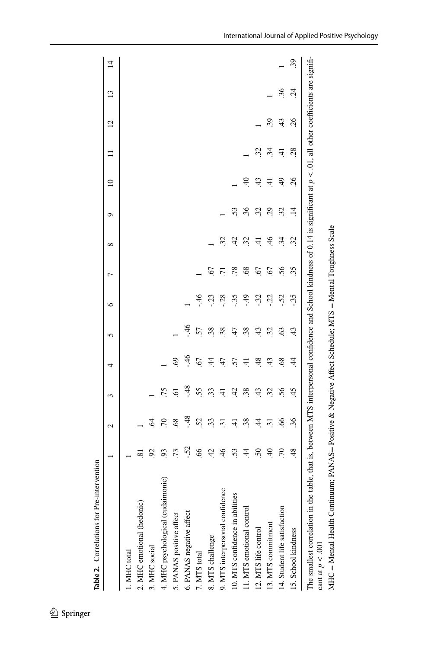|                                                                                                                                                                                                           |                 | 2               | 3              | 4               | 5     | ७      | 冖              | $\infty$       | ٥         | $\supseteq$    |                           | $\overline{c}$ | $\mathbf{13}$ | $\overline{4}$ |
|-----------------------------------------------------------------------------------------------------------------------------------------------------------------------------------------------------------|-----------------|-----------------|----------------|-----------------|-------|--------|----------------|----------------|-----------|----------------|---------------------------|----------------|---------------|----------------|
| 1. MHC total                                                                                                                                                                                              |                 |                 |                |                 |       |        |                |                |           |                |                           |                |               |                |
| 2. MHC emotional (hedonic)                                                                                                                                                                                | ∞               |                 |                |                 |       |        |                |                |           |                |                           |                |               |                |
| 3. MHC social                                                                                                                                                                                             | $\overline{6}$  | Ŝ,              |                |                 |       |        |                |                |           |                |                           |                |               |                |
| 4. MHC psychological (eudaimonic)                                                                                                                                                                         | 93              | $\sqrt{2}$      | 75             |                 |       |        |                |                |           |                |                           |                |               |                |
| 5. PANAS positive affect                                                                                                                                                                                  | 73              | 68              | $\overline{6}$ | $\mathcal{S}^9$ |       |        |                |                |           |                |                           |                |               |                |
| 6. PANAS negative affect                                                                                                                                                                                  | $-52$           | $-48$           | $-48$          | $-46$           | $-46$ |        |                |                |           |                |                           |                |               |                |
| 7. MTS total                                                                                                                                                                                              | 66              | 52              | 55.            | 67              | 57    | $\div$ |                |                |           |                |                           |                |               |                |
| 8. MTS challenge                                                                                                                                                                                          | 42              | 33              | 33             | $\ddot{4}$      | 38    | $-23$  | 67             |                |           |                |                           |                |               |                |
| 9. MTS interpersonal confidence                                                                                                                                                                           | 46              | $\overline{31}$ | $\overline{4}$ | 47              | 38    | $-28$  | 17             | $\ddot{3}$     |           |                |                           |                |               |                |
| 10. MTS confidence in abilities                                                                                                                                                                           | 53              | $\overline{4}$  | 42             | 57              | 47    | $-35$  | 78             | $\ddot{c}$     | 53        |                |                           |                |               |                |
| 11. MTS emotional control                                                                                                                                                                                 | $\overline{4}$  | 38              | 38             | $\overline{4}$  | 38    | -49    | 68             | $\mathcal{Z}$  | 36        | $\overline{4}$ |                           |                |               |                |
| 12. MTS life control                                                                                                                                                                                      | 50              | $\ddot{4}$      | 43             | 48              | 43    | $-32$  | $\overline{6}$ | $\pm$          | 32        | 43             | $\widetilde{\mathcal{Z}}$ |                |               |                |
| 13. MTS commitment                                                                                                                                                                                        | $\overline{40}$ | $\overline{31}$ | 32             | 43              | 32    | $-22$  | 67             | $\frac{46}{5}$ | 29        | $\overline{4}$ | ਲ੍                        | 39             |               |                |
| 14. Student life satisfaction                                                                                                                                                                             | .70             | 66              | 56             | 68              | 63    | $-52$  | $\tilde{56}$   | 34             | 32        | $\frac{49}{5}$ | $\pm$                     | $\frac{4}{3}$  | 36            |                |
| 15. School kindness                                                                                                                                                                                       | $\frac{8}{4}$   | 36              | 45             | 4               | 43    | $-35$  | 35             | 32             | $\vec{=}$ | 26             | 28                        | 26             | $\ddot{c}$    | 39             |
| The smallest correlation in the table, that is, between MTS interpersonal confidence and School kindness of 0.14 is significant at $p < 0.01$ , all other coefficients are signifi-<br>cant at $p < .001$ |                 |                 |                |                 |       |        |                |                |           |                |                           |                |               |                |

<span id="page-9-0"></span>Table 2. Correlations for Pre-intervention **Table 2.** Correlations for Pre-intervention

MHC = Mental Health Continuum; PANAS= Positive & Negative Afect Schedule; MTS = Mental Toughness Scale

MHC = Mental Health Continuum; PANAS= Positive & Negative Affect Schedule; MTS = Mental Toughness Scale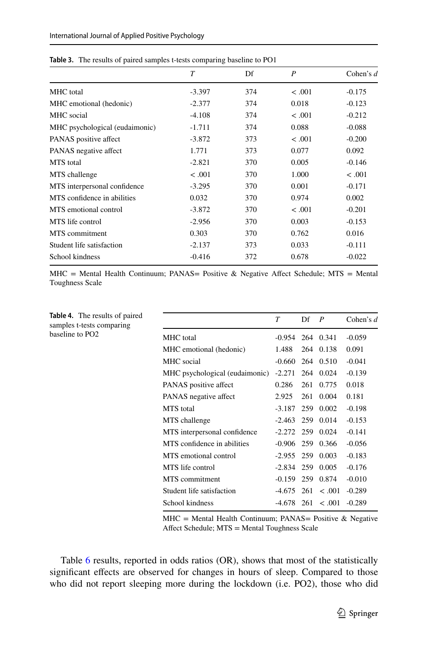|                                | $\tau$   | Df  | $\boldsymbol{P}$ | Cohen's $d$ |
|--------------------------------|----------|-----|------------------|-------------|
| <b>MHC</b> total               | $-3.397$ | 374 | < .001           | $-0.175$    |
| MHC emotional (hedonic)        | $-2.377$ | 374 | 0.018            | $-0.123$    |
| MHC social                     | $-4.108$ | 374 | < 0.001          | $-0.212$    |
| MHC psychological (eudaimonic) | $-1.711$ | 374 | 0.088            | $-0.088$    |
| PANAS positive affect          | $-3.872$ | 373 | < .001           | $-0.200$    |
| PANAS negative affect          | 1.771    | 373 | 0.077            | 0.092       |
| MTS total                      | $-2.821$ | 370 | 0.005            | $-0.146$    |
| MTS challenge                  | < .001   | 370 | 1.000            | < .001      |
| MTS interpersonal confidence   | $-3.295$ | 370 | 0.001            | $-0.171$    |
| MTS confidence in abilities    | 0.032    | 370 | 0.974            | 0.002       |
| MTS emotional control          | $-3.872$ | 370 | < .001           | $-0.201$    |
| MTS life control               | $-2.956$ | 370 | 0.003            | $-0.153$    |
| MTS commitment                 | 0.303    | 370 | 0.762            | 0.016       |
| Student life satisfaction      | $-2.137$ | 373 | 0.033            | $-0.111$    |
| School kindness                | $-0.416$ | 372 | 0.678            | $-0.022$    |
|                                |          |     |                  |             |

<span id="page-10-0"></span>**Table 3.** The results of paired samples t-tests comparing baseline to PO1

MHC = Mental Health Continuum; PANAS= Positive & Negative Affect Schedule; MTS = Mental Toughness Scale

<span id="page-10-1"></span>

| <b>Table 4.</b> The results of paired<br>samples t-tests comparing |                                | T                  | Df  | P                  | Cohen's $d$ |
|--------------------------------------------------------------------|--------------------------------|--------------------|-----|--------------------|-------------|
| baseline to PO2                                                    | MHC total                      | -0.954             |     | 264 0.341          | $-0.059$    |
|                                                                    | MHC emotional (hedonic)        | 1.488              |     | 264 0.138          | 0.091       |
|                                                                    | MHC social                     | $-0.660$           |     | 264 0.510          | $-0.041$    |
|                                                                    | MHC psychological (eudaimonic) | $-2.271$           |     | 264 0.024          | $-0.139$    |
|                                                                    | PANAS positive affect          | 0.286              |     | 261 0.775          | 0.018       |
|                                                                    | PANAS negative affect          | 2.925              | 261 | 0.004              | 0.181       |
|                                                                    | <b>MTS</b> total               | $-3.187$           |     | 259 0.002          | $-0.198$    |
|                                                                    | MTS challenge                  | $-2.463$           |     | 259 0.014          | $-0.153$    |
|                                                                    | MTS interpersonal confidence   | $-2.272$ 259 0.024 |     |                    | $-0.141$    |
|                                                                    | MTS confidence in abilities    | $-0.906$ 259 0.366 |     |                    | $-0.056$    |
|                                                                    | MTS emotional control          | $-2.955$           |     | 259 0.003          | $-0.183$    |
|                                                                    | MTS life control               | $-2.834$           |     | 259 0.005          | $-0.176$    |
|                                                                    | MTS commitment                 | $-0.159$ 259 0.874 |     |                    | $-0.010$    |
|                                                                    | Student life satisfaction      |                    |     | $-4.675$ 261 < 001 | $-0.289$    |
|                                                                    | School kindness                | -4.678             |     | $261 \le 0.001$    | $-0.289$    |

 $MHC = M$ ental Health Continuum; PANAS= Positive & Negative Afect Schedule; MTS = Mental Toughness Scale

Table [6](#page-12-0) results, reported in odds ratios (OR), shows that most of the statistically signifcant efects are observed for changes in hours of sleep. Compared to those who did not report sleeping more during the lockdown (i.e. PO2), those who did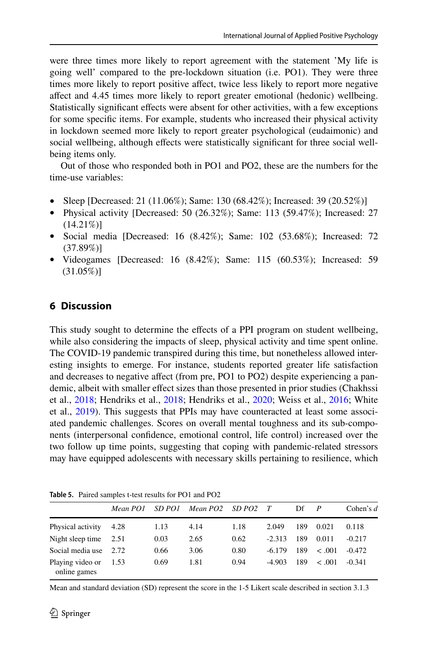were three times more likely to report agreement with the statement 'My life is going well' compared to the pre-lockdown situation (i.e. PO1). They were three times more likely to report positive affect, twice less likely to report more negative afect and 4.45 times more likely to report greater emotional (hedonic) wellbeing. Statistically significant effects were absent for other activities, with a few exceptions for some specifc items. For example, students who increased their physical activity in lockdown seemed more likely to report greater psychological (eudaimonic) and social wellbeing, although effects were statistically significant for three social wellbeing items only.

Out of those who responded both in PO1 and PO2, these are the numbers for the time-use variables:

- Sleep [Decreased: 21 (11.06%); Same: 130 (68.42%); Increased: 39 (20.52%)]
- Physical activity [Decreased: 50 (26.32%); Same: 113 (59.47%); Increased: 27  $(14.21\%)$
- Social media [Decreased: 16 (8.42%); Same: 102 (53.68%); Increased: 72 (37.89%)]
- Videogames [Decreased: 16 (8.42%); Same: 115 (60.53%); Increased: 59 (31.05%)]

### **6 Discussion**

This study sought to determine the efects of a PPI program on student wellbeing, while also considering the impacts of sleep, physical activity and time spent online. The COVID-19 pandemic transpired during this time, but nonetheless allowed interesting insights to emerge. For instance, students reported greater life satisfaction and decreases to negative affect (from pre, PO1 to PO2) despite experiencing a pandemic, albeit with smaller efect sizes than those presented in prior studies (Chakhssi et al., [2018;](#page-20-7) Hendriks et al., [2018](#page-22-8); Hendriks et al., [2020;](#page-22-9) Weiss et al., [2016](#page-28-12); White et al., [2019\)](#page-28-13). This suggests that PPIs may have counteracted at least some associated pandemic challenges. Scores on overall mental toughness and its sub-components (interpersonal confdence, emotional control, life control) increased over the two follow up time points, suggesting that coping with pandemic-related stressors may have equipped adolescents with necessary skills pertaining to resilience, which

<span id="page-11-0"></span>

|  |  | <b>Table 5.</b> Paired samples t-test results for PO1 and PO2 |  |  |  |  |  |  |
|--|--|---------------------------------------------------------------|--|--|--|--|--|--|
|--|--|---------------------------------------------------------------|--|--|--|--|--|--|

|                                  | Mean PO1 | SD PO1 | Mean PO2 | SD PO2 | T        | Df  | $\boldsymbol{P}$ | Cohen's $d$ |
|----------------------------------|----------|--------|----------|--------|----------|-----|------------------|-------------|
| Physical activity                | 4.28     | 1.13   | 4.14     | 1.18   | 2.049    | 189 | 0.021            | 0.118       |
| Night sleep time $2.51$          |          | 0.03   | 2.65     | 0.62   | $-2.313$ | 189 | 0.011            | $-0.217$    |
| Social media use                 | 2.72     | 0.66   | 3.06     | 0.80   | $-6.179$ | 189 | < .001           | $-0.472$    |
| Playing video or<br>online games | 1.53     | 0.69   | 1.81     | 0.94   | $-4.903$ | 189 | < .001           | $-0.341$    |

Mean and standard deviation (SD) represent the score in the 1-5 Likert scale described in section 3.1.3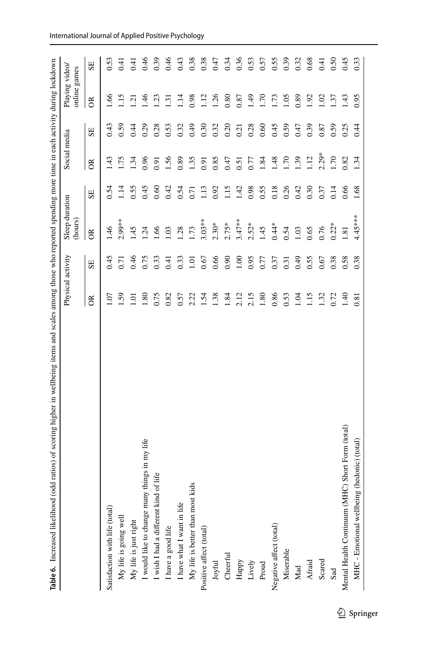<span id="page-12-0"></span>

| Table 6. Increased likelihood (odd ratios) of scoring higher in wellbeing items and scales among those who reported spending more time in each activity during lockdown |                |                   |                           |      |                  |      |                                |                |
|-------------------------------------------------------------------------------------------------------------------------------------------------------------------------|----------------|-------------------|---------------------------|------|------------------|------|--------------------------------|----------------|
|                                                                                                                                                                         |                | Physical activity | Sleep duration<br>(hours) |      | Social media     |      | Playing video/<br>online games |                |
|                                                                                                                                                                         | $\alpha$       | SE                | $\approx$                 | SE   | $\approx$        | SE   | $\approx$                      | SE             |
| Satisfaction with life (total)                                                                                                                                          | S.             | 0.45              | 1.46                      | 0.54 | 1.43             | 0.43 | $-66$                          | 0.53           |
| My life is going well                                                                                                                                                   | 59             | 0.71              | $2.99**$                  | 1.14 | 1.75             | 0.59 | 1.15                           | $\overline{6}$ |
| My life is just right                                                                                                                                                   | $\overline{S}$ | 0.46              | 1.45                      | 0.55 | 1.34             | 0.44 | $\overline{2}$                 | $-11$          |
| things in my life<br>would like to change many                                                                                                                          | 1.80           | 0.75              | $\ddot{q}$                | 0.45 | 0.96             | 0.29 | 1.46                           | 0.46           |
| of life<br>wish I had a different kind                                                                                                                                  | 0.75           | 0.33              | 1.66                      | 0.60 | 0.91             | 0.28 | 1.23                           | 0.39           |
| I have a good life                                                                                                                                                      | 0.82           | 0.41              | 1.03                      | 0.42 | 1.56             | 0.53 | $\overline{131}$               | 0.46           |
| I have what I want in life                                                                                                                                              | 0.57           | 0.33              | 1.28                      | 0.54 | 0.89             | 0.32 | 1.14                           | 0.43           |
| My life is better than most kids                                                                                                                                        | 2.22           | 1.01              | 1.73                      | 0.71 | 1.35             | 64.0 | 0.98                           | 0.38           |
| Positive affect (total)                                                                                                                                                 | 1.54           | 0.67              | $3.03***$                 | 1.13 | 0.91             | 0.30 | 1.12                           | 0.38           |
| Joyful                                                                                                                                                                  | 1.38           | 0.66              | $2.30*$                   | 0.92 | 0.85             | 0.32 | 1.26                           | 0.47           |
| Cheerful                                                                                                                                                                | 1.84           | 0.90              | $2.75*$                   | 1.15 | 0.47             | 0.20 | 0.80                           | 0.34           |
| Happy                                                                                                                                                                   | 2.12           | 1.00              | $3.47***$                 | 1.42 | 0.51             | 0.21 | 0.87                           | 0.36           |
| Lively                                                                                                                                                                  | 2.15           | 0.95              | $2.52*$                   | 0.98 | 0.77             | 0.28 | 1.49                           | 0.53           |
| Proud                                                                                                                                                                   | 1.80           | 0.77              | 1.45                      | 0.55 | 1.84             | 0.60 | 1.70                           | 0.57           |
| Negative affect (total)                                                                                                                                                 | 0.86           | 0.37              | $0.44*$                   | 0.18 | 48               | 0.45 | 1.73                           | 0.55           |
| Miserable                                                                                                                                                               | 0.53           | 0.31              | 0.54                      | 0.26 | $\overline{170}$ | 0.59 | 1.05                           | 0.39           |
| $\rm{Mad}$                                                                                                                                                              | 1.04           | 64.0              | 1.03                      | 0.42 | 1.39             | 0.47 | 0.89                           | 0.32           |
| Afraid                                                                                                                                                                  | 1.15           | 0.55              | 0.65                      | 0.30 | 1.12             | 0.39 | 1.92                           | 0.68           |
| Scared                                                                                                                                                                  | 1.32           | 0.67              | 0.76                      | 0.37 | $2.29*$          | 0.87 | 1.02                           | 6.41           |
| Sad                                                                                                                                                                     | 0.72           | 0.38              | $0.22*$                   | 0.14 | 1.70             | 0.59 | 1.37                           | 0.50           |
| C) Short Form (total)<br>Mental Health Continuum (MH                                                                                                                    | 1.40           | 0.58              | 1.81                      | 0.66 | 0.82             | 0.25 | 1.43                           | 0.45           |
| (hedonic) (total)<br>MHC - Emotional wellbeing                                                                                                                          | 0.81           | 0.38              | 4.45****                  | 1.68 | 1.34             | 0.44 | 0.95                           | 0.33           |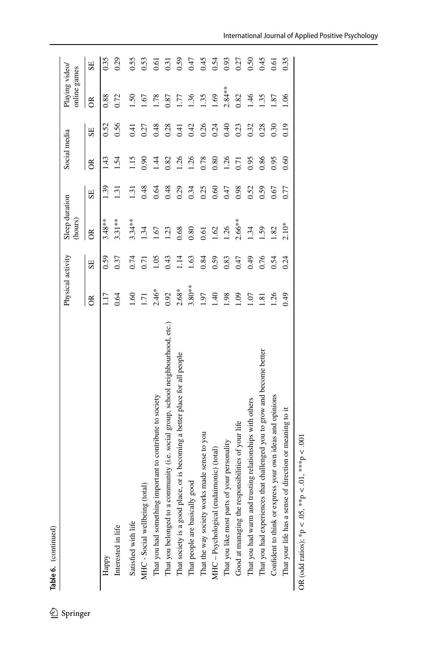|                                                                                  | Physical activity |      | Sleep duration<br>(hours) |                  | Social media |      | Playing video/<br>online games |      |
|----------------------------------------------------------------------------------|-------------------|------|---------------------------|------------------|--------------|------|--------------------------------|------|
|                                                                                  | õ                 | SE   | $\approx$                 | SE               | ర్           | SE   | $\approx$                      | SE   |
| Happy                                                                            |                   | 0.59 | $3.48***$                 | 1.39             | 43           | 0.52 | 0.88                           | 0.35 |
| Interested in life                                                               | 0.64              | 0.37 | $3.31***$                 | 1.31             | 1.54         | 0.56 | 0.72                           | 0.29 |
| Satisfied with life                                                              | $\frac{60}{1}$    | 0.74 | $3.34***$                 | $\overline{131}$ | 1.15         | 0.41 | $\overline{50}$                | 0.55 |
| MHC - Social wellbeing (total)                                                   | $\overline{1}$    | 0.71 | 1.34                      | 0.48             | 0.90         | 0.27 | $-1.67$                        | 0.53 |
| That you had something important to contribute to society                        | $2.46*$           | 1.05 | $-1.67$                   | 0.64             | 1.44         | 0.48 | 1.78                           | 0.61 |
| That you belonged to a community (i.e. social group, school neighbourhood, etc.) | 0.92              | 0.43 | 1.23                      | 0.48             | 0.82         | 0.28 | 0.87                           | 0.31 |
| That society is a good place, or is becoming a better place for all people       | $2.68*$           | 1.14 | 0.68                      | 0.29             | 1.26         | 0.41 | 1.77                           | 0.59 |
| That people are basically good                                                   | $3.80**$          | 1.63 | 0.80                      | 0.34             | 1.26         | 0.42 | 1.36                           | 0.47 |
| That the way society works made sense to you                                     | 1.97              | 0.84 | 0.61                      | 0.25             | 0.78         | 0.26 | 1.35                           | 0.45 |
| MHC-Psychological (eudaimonic) (total)                                           | $\overline{40}$   | 0.59 | 1.62                      | 0.60             | 0.80         | 0.24 | 1.69                           | 0.54 |
| your personality<br>That you like most parts of                                  | 1.98              | 0.83 | 1.26                      | 0.47             | 1.26         | 0.40 | $2.84**$                       | 0.93 |
| Good at managing the responsibilities of your life                               | 1.09              | 0.47 | $2.66***$                 | 0.98             | 0.71         | 0.23 | 0.82                           | 0.27 |
| That you had warm and trusting relationships with others                         | 1.07              | 64.0 | 1.34                      | 0.52             | 0.95         | 0.32 | 1.46                           | 0.50 |
| That you had experiences that challenged you to grow and become better           | 1.81              | 0.76 | .59                       | 0.59             | 0.86         | 0.28 | 1.35                           | 0.45 |
| Confident to think or express your own ideas and opinions                        | 1.26              | 0.54 | 1.82                      | 0.67             | 0.95         | 0.30 | 1.87                           | 0.61 |
| That your life has a sense of direction or meaning to it                         | 64.0              | 0.24 | $2.10*$                   | 0.77             | 0.60         | 0.19 | 1.06                           | 0.35 |

OR (odd ratios); \*p < .05, \*\*p < .01, \*\*\*p < .001 OR (odd ratios); \*p < .05, \*\*p < .01, \*\*\*p < .001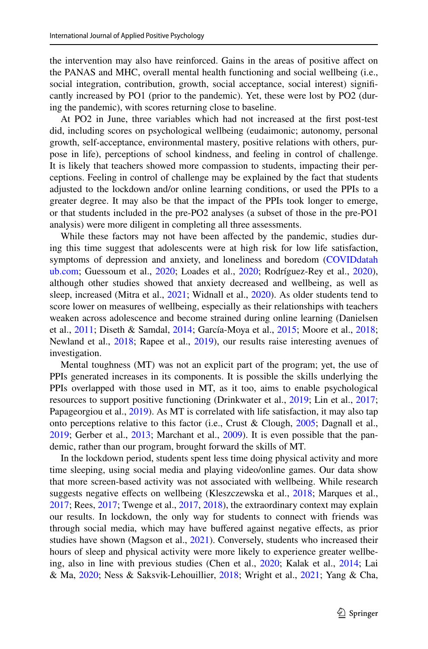the intervention may also have reinforced. Gains in the areas of positive afect on the PANAS and MHC, overall mental health functioning and social wellbeing (i.e., social integration, contribution, growth, social acceptance, social interest) signifcantly increased by PO1 (prior to the pandemic). Yet, these were lost by PO2 (during the pandemic), with scores returning close to baseline.

At PO2 in June, three variables which had not increased at the frst post-test did, including scores on psychological wellbeing (eudaimonic; autonomy, personal growth, self-acceptance, environmental mastery, positive relations with others, purpose in life), perceptions of school kindness, and feeling in control of challenge. It is likely that teachers showed more compassion to students, impacting their perceptions. Feeling in control of challenge may be explained by the fact that students adjusted to the lockdown and/or online learning conditions, or used the PPIs to a greater degree. It may also be that the impact of the PPIs took longer to emerge, or that students included in the pre-PO2 analyses (a subset of those in the pre-PO1 analysis) were more diligent in completing all three assessments.

While these factors may not have been affected by the pandemic, studies during this time suggest that adolescents were at high risk for low life satisfaction, symptoms of depression and anxiety, and loneliness and boredom [\(COVIDdatah](http://coviddatahub.com) [ub.com;](http://coviddatahub.com) Guessoum et al., [2020;](#page-22-12) Loades et al., [2020](#page-24-10); Rodríguez-Rey et al., [2020\)](#page-27-15), although other studies showed that anxiety decreased and wellbeing, as well as sleep, increased (Mitra et al., [2021;](#page-25-5) Widnall et al., [2020](#page-28-15)). As older students tend to score lower on measures of wellbeing, especially as their relationships with teachers weaken across adolescence and become strained during online learning (Danielsen et al., [2011](#page-21-8); Diseth & Samdal, [2014;](#page-21-9) García-Moya et al., [2015;](#page-21-10) Moore et al., [2018;](#page-26-11) Newland et al., [2018](#page-26-12); Rapee et al., [2019](#page-26-13)), our results raise interesting avenues of investigation.

Mental toughness (MT) was not an explicit part of the program; yet, the use of PPIs generated increases in its components. It is possible the skills underlying the PPIs overlapped with those used in MT, as it too, aims to enable psychological resources to support positive functioning (Drinkwater et al., [2019](#page-21-11); Lin et al., [2017;](#page-24-13) Papageorgiou et al., [2019](#page-26-14)). As MT is correlated with life satisfaction, it may also tap onto perceptions relative to this factor (i.e., Crust & Clough, [2005](#page-21-12); Dagnall et al., [2019](#page-21-13); Gerber et al., [2013;](#page-22-13) Marchant et al., [2009](#page-25-11)). It is even possible that the pandemic, rather than our program, brought forward the skills of MT.

In the lockdown period, students spent less time doing physical activity and more time sleeping, using social media and playing video/online games. Our data show that more screen-based activity was not associated with wellbeing. While research suggests negative effects on wellbeing (Kleszczewska et al., [2018;](#page-23-10) Marques et al., [2017](#page-25-7); Rees, [2017](#page-26-3); Twenge et al., [2017,](#page-28-16) [2018\)](#page-28-6), the extraordinary context may explain our results. In lockdown, the only way for students to connect with friends was through social media, which may have bufered against negative efects, as prior studies have shown (Magson et al., [2021](#page-25-12)). Conversely, students who increased their hours of sleep and physical activity were more likely to experience greater wellbeing, also in line with previous studies (Chen et al., [2020](#page-20-4); Kalak et al., [2014](#page-23-7); Lai & Ma, [2020](#page-24-5); Ness & Saksvik-Lehouillier, [2018](#page-26-2); Wright et al., [2021;](#page-29-2) Yang & Cha,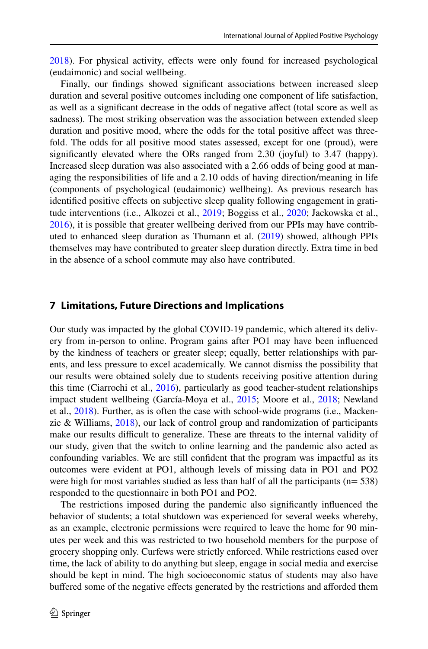[2018](#page-29-1)). For physical activity, efects were only found for increased psychological (eudaimonic) and social wellbeing.

Finally, our findings showed significant associations between increased sleep duration and several positive outcomes including one component of life satisfaction, as well as a signifcant decrease in the odds of negative afect (total score as well as sadness). The most striking observation was the association between extended sleep duration and positive mood, where the odds for the total positive afect was threefold. The odds for all positive mood states assessed, except for one (proud), were signifcantly elevated where the ORs ranged from 2.30 (joyful) to 3.47 (happy). Increased sleep duration was also associated with a 2.66 odds of being good at managing the responsibilities of life and a 2.10 odds of having direction/meaning in life (components of psychological (eudaimonic) wellbeing). As previous research has identified positive effects on subjective sleep quality following engagement in gratitude interventions (i.e., Alkozei et al., [2019;](#page-19-6) Boggiss et al., [2020;](#page-19-5) Jackowska et al., [2016](#page-23-14)), it is possible that greater wellbeing derived from our PPIs may have contributed to enhanced sleep duration as Thumann et al. ([2019\)](#page-28-5) showed, although PPIs themselves may have contributed to greater sleep duration directly. Extra time in bed in the absence of a school commute may also have contributed.

#### **7 Limitations, Future Directions and Implications**

Our study was impacted by the global COVID-19 pandemic, which altered its delivery from in-person to online. Program gains after PO1 may have been infuenced by the kindness of teachers or greater sleep; equally, better relationships with parents, and less pressure to excel academically. We cannot dismiss the possibility that our results were obtained solely due to students receiving positive attention during this time (Ciarrochi et al., [2016](#page-20-11)), particularly as good teacher-student relationships impact student wellbeing (García-Moya et al., [2015](#page-21-10); Moore et al., [2018;](#page-26-11) Newland et al., [2018](#page-26-12)). Further, as is often the case with school-wide programs (i.e., Mackenzie & Williams, [2018](#page-25-13)), our lack of control group and randomization of participants make our results difficult to generalize. These are threats to the internal validity of our study, given that the switch to online learning and the pandemic also acted as confounding variables. We are still confdent that the program was impactful as its outcomes were evident at PO1, although levels of missing data in PO1 and PO2 were high for most variables studied as less than half of all the participants ( $n= 538$ ) responded to the questionnaire in both PO1 and PO2.

The restrictions imposed during the pandemic also signifcantly infuenced the behavior of students; a total shutdown was experienced for several weeks whereby, as an example, electronic permissions were required to leave the home for 90 minutes per week and this was restricted to two household members for the purpose of grocery shopping only. Curfews were strictly enforced. While restrictions eased over time, the lack of ability to do anything but sleep, engage in social media and exercise should be kept in mind. The high socioeconomic status of students may also have buffered some of the negative effects generated by the restrictions and afforded them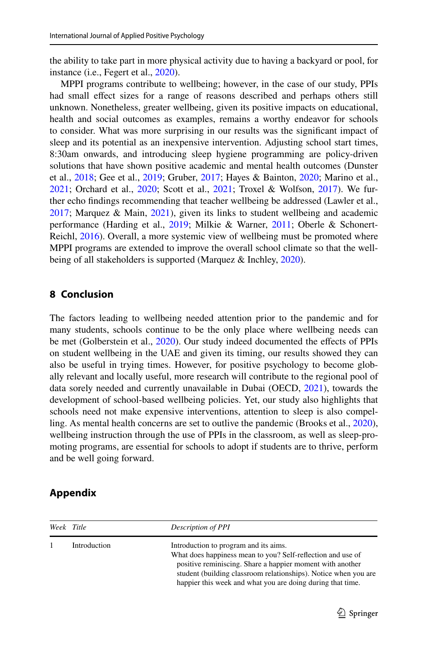the ability to take part in more physical activity due to having a backyard or pool, for instance (i.e., Fegert et al., [2020](#page-21-14)).

MPPI programs contribute to wellbeing; however, in the case of our study, PPIs had small efect sizes for a range of reasons described and perhaps others still unknown. Nonetheless, greater wellbeing, given its positive impacts on educational, health and social outcomes as examples, remains a worthy endeavor for schools to consider. What was more surprising in our results was the signifcant impact of sleep and its potential as an inexpensive intervention. Adjusting school start times, 8:30am onwards, and introducing sleep hygiene programming are policy-driven solutions that have shown positive academic and mental health outcomes (Dunster et al., [2018](#page-21-15); Gee et al., [2019;](#page-21-16) Gruber, [2017](#page-22-14); Hayes & Bainton, [2020;](#page-22-7) Marino et al., [2021](#page-25-3); Orchard et al., [2020](#page-26-1); Scott et al., [2021;](#page-27-16) Troxel & Wolfson, [2017\)](#page-28-17). We further echo fndings recommending that teacher wellbeing be addressed (Lawler et al., [2017](#page-24-14); Marquez & Main, [2021\)](#page-25-14), given its links to student wellbeing and academic performance (Harding et al., [2019;](#page-22-15) Milkie & Warner, [2011](#page-25-15); Oberle & Schonert-Reichl, [2016](#page-26-15)). Overall, a more systemic view of wellbeing must be promoted where MPPI programs are extended to improve the overall school climate so that the well-being of all stakeholders is supported (Marquez & Inchley, [2020](#page-25-16)).

#### **8 Conclusion**

The factors leading to wellbeing needed attention prior to the pandemic and for many students, schools continue to be the only place where wellbeing needs can be met (Golberstein et al., [2020](#page-22-16)). Our study indeed documented the efects of PPIs on student wellbeing in the UAE and given its timing, our results showed they can also be useful in trying times. However, for positive psychology to become globally relevant and locally useful, more research will contribute to the regional pool of data sorely needed and currently unavailable in Dubai (OECD, [2021](#page-26-16)), towards the development of school-based wellbeing policies. Yet, our study also highlights that schools need not make expensive interventions, attention to sleep is also compelling. As mental health concerns are set to outlive the pandemic (Brooks et al., [2020\)](#page-20-12), wellbeing instruction through the use of PPIs in the classroom, as well as sleep-promoting programs, are essential for schools to adopt if students are to thrive, perform and be well going forward.

#### **Appendix**

| Week Title |              | Description of PPI                                                                                                                                                                                                                                                                                 |
|------------|--------------|----------------------------------------------------------------------------------------------------------------------------------------------------------------------------------------------------------------------------------------------------------------------------------------------------|
|            | Introduction | Introduction to program and its aims.<br>What does happiness mean to you? Self-reflection and use of<br>positive reminiscing. Share a happier moment with another<br>student (building classroom relationships). Notice when you are<br>happier this week and what you are doing during that time. |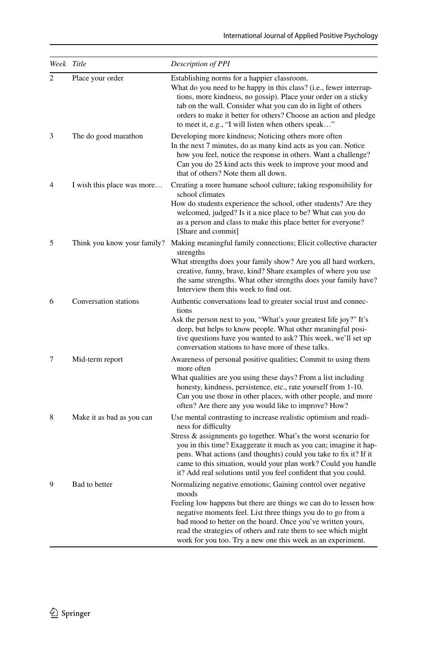| Week Title     |                             | Description of PPI                                                                                                                                                                                                                                                                                                                                                                                                                       |
|----------------|-----------------------------|------------------------------------------------------------------------------------------------------------------------------------------------------------------------------------------------------------------------------------------------------------------------------------------------------------------------------------------------------------------------------------------------------------------------------------------|
| $\overline{c}$ | Place your order            | Establishing norms for a happier classroom.<br>What do you need to be happy in this class? (i.e., fewer interrup-<br>tions, more kindness, no gossip). Place your order on a sticky<br>tab on the wall. Consider what you can do in light of others<br>orders to make it better for others? Choose an action and pledge<br>to meet it, e.g., "I will listen when others speak"                                                           |
| 3              | The do good marathon        | Developing more kindness; Noticing others more often<br>In the next 7 minutes, do as many kind acts as you can. Notice<br>how you feel, notice the response in others. Want a challenge?<br>Can you do 25 kind acts this week to improve your mood and<br>that of others? Note them all down.                                                                                                                                            |
| 4              | I wish this place was more  | Creating a more humane school culture; taking responsibility for<br>school climates<br>How do students experience the school, other students? Are they<br>welcomed, judged? Is it a nice place to be? What can you do<br>as a person and class to make this place better for everyone?<br>[Share and commit]                                                                                                                             |
| 5              | Think you know your family? | Making meaningful family connections; Elicit collective character<br>strengths<br>What strengths does your family show? Are you all hard workers,<br>creative, funny, brave, kind? Share examples of where you use<br>the same strengths. What other strengths does your family have?<br>Interview them this week to find out.                                                                                                           |
| 6              | Conversation stations       | Authentic conversations lead to greater social trust and connec-<br>tions<br>Ask the person next to you, "What's your greatest life joy?" It's<br>deep, but helps to know people. What other meaningful posi-<br>tive questions have you wanted to ask? This week, we'll set up<br>conversation stations to have more of these talks.                                                                                                    |
| 7              | Mid-term report             | Awareness of personal positive qualities; Commit to using them<br>more often<br>What qualities are you using these days? From a list including<br>honesty, kindness, persistence, etc., rate yourself from 1-10.<br>Can you use those in other places, with other people, and more<br>often? Are there any you would like to improve? How?                                                                                               |
| 8              | Make it as bad as you can   | Use mental contrasting to increase realistic optimism and readi-<br>ness for difficulty<br>Stress & assignments go together. What's the worst scenario for<br>you in this time? Exaggerate it much as you can; imagine it hap-<br>pens. What actions (and thoughts) could you take to fix it? If it<br>came to this situation, would your plan work? Could you handle<br>it? Add real solutions until you feel confident that you could. |
| 9              | Bad to better               | Normalizing negative emotions; Gaining control over negative<br>moods<br>Feeling low happens but there are things we can do to lessen how<br>negative moments feel. List three things you do to go from a<br>bad mood to better on the board. Once you've written yours,<br>read the strategies of others and rate them to see which might<br>work for you too. Try a new one this week as an experiment.                                |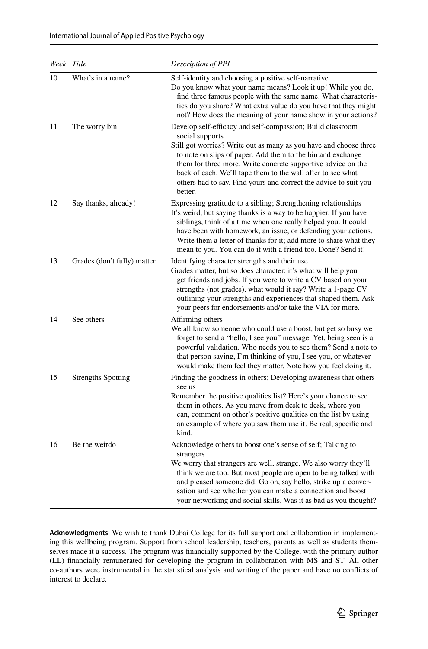| Week Title |                             | Description of PPI                                                                                                                                                                                                                                                                                                                                                                                                              |
|------------|-----------------------------|---------------------------------------------------------------------------------------------------------------------------------------------------------------------------------------------------------------------------------------------------------------------------------------------------------------------------------------------------------------------------------------------------------------------------------|
| 10         | What's in a name?           | Self-identity and choosing a positive self-narrative<br>Do you know what your name means? Look it up! While you do,<br>find three famous people with the same name. What characteris-<br>tics do you share? What extra value do you have that they might<br>not? How does the meaning of your name show in your actions?                                                                                                        |
| 11         | The worry bin               | Develop self-efficacy and self-compassion; Build classroom<br>social supports<br>Still got worries? Write out as many as you have and choose three<br>to note on slips of paper. Add them to the bin and exchange<br>them for three more. Write concrete supportive advice on the<br>back of each. We'll tape them to the wall after to see what<br>others had to say. Find yours and correct the advice to suit you<br>better. |
| 12         | Say thanks, already!        | Expressing gratitude to a sibling; Strengthening relationships<br>It's weird, but saying thanks is a way to be happier. If you have<br>siblings, think of a time when one really helped you. It could<br>have been with homework, an issue, or defending your actions.<br>Write them a letter of thanks for it; add more to share what they<br>mean to you. You can do it with a friend too. Done? Send it!                     |
| 13         | Grades (don't fully) matter | Identifying character strengths and their use<br>Grades matter, but so does character: it's what will help you<br>get friends and jobs. If you were to write a CV based on your<br>strengths (not grades), what would it say? Write a 1-page CV<br>outlining your strengths and experiences that shaped them. Ask<br>your peers for endorsements and/or take the VIA for more.                                                  |
| 14         | See others                  | Affirming others<br>We all know someone who could use a boost, but get so busy we<br>forget to send a "hello, I see you" message. Yet, being seen is a<br>powerful validation. Who needs you to see them? Send a note to<br>that person saying, I'm thinking of you, I see you, or whatever<br>would make them feel they matter. Note how you feel doing it.                                                                    |
| 15         | <b>Strengths Spotting</b>   | Finding the goodness in others; Developing awareness that others<br>see us<br>Remember the positive qualities list? Here's your chance to see<br>them in others. As you move from desk to desk, where you<br>can, comment on other's positive qualities on the list by using<br>an example of where you saw them use it. Be real, specific and<br>kind.                                                                         |
| 16         | Be the weirdo               | Acknowledge others to boost one's sense of self; Talking to<br>strangers<br>We worry that strangers are well, strange. We also worry they'll<br>think we are too. But most people are open to being talked with<br>and pleased someone did. Go on, say hello, strike up a conver-<br>sation and see whether you can make a connection and boost<br>your networking and social skills. Was it as bad as you thought?             |

**Acknowledgments** We wish to thank Dubai College for its full support and collaboration in implementing this wellbeing program. Support from school leadership, teachers, parents as well as students themselves made it a success. The program was fnancially supported by the College, with the primary author (LL) fnancially remunerated for developing the program in collaboration with MS and ST. All other co-authors were instrumental in the statistical analysis and writing of the paper and have no conficts of interest to declare.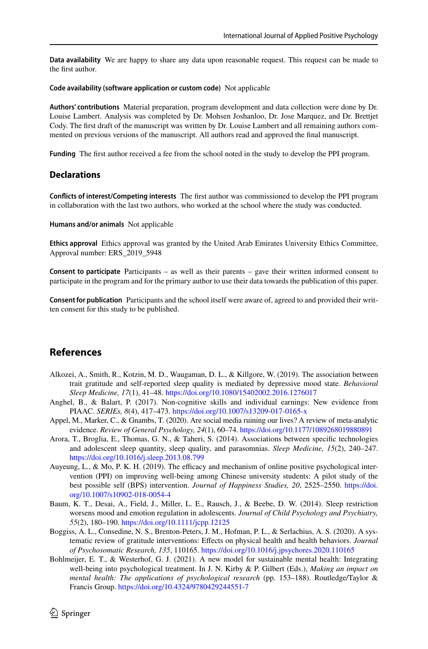**Data availability** We are happy to share any data upon reasonable request. This request can be made to the frst author.

#### **Code availability (software application or custom code)** Not applicable

**Authors' contributions** Material preparation, program development and data collection were done by Dr. Louise Lambert. Analysis was completed by Dr. Mohsen Joshanloo, Dr. Jose Marquez, and Dr. Brettjet Cody. The frst draft of the manuscript was written by Dr. Louise Lambert and all remaining authors commented on previous versions of the manuscript. All authors read and approved the fnal manuscript.

**Funding** The frst author received a fee from the school noted in the study to develop the PPI program.

#### **Declarations**

**Conficts of interest/Competing interests** The frst author was commissioned to develop the PPI program in collaboration with the last two authors, who worked at the school where the study was conducted.

**Humans and/or animals** Not applicable

**Ethics approval** Ethics approval was granted by the United Arab Emirates University Ethics Committee, Approval number: ERS\_2019\_5948

**Consent to participate** Participants – as well as their parents – gave their written informed consent to participate in the program and for the primary author to use their data towards the publication of this paper.

**Consent for publication** Participants and the school itself were aware of, agreed to and provided their written consent for this study to be published.

### **References**

- <span id="page-19-6"></span>Alkozei, A., Smith, R., Kotzin, M. D., Waugaman, D. L., & Killgore, W. (2019). The association between trait gratitude and self-reported sleep quality is mediated by depressive mood state. *Behavioral Sleep Medicine, 17*(1), 41–48. <https://doi.org/10.1080/15402002.2016.1276017>
- <span id="page-19-1"></span>Anghel, B., & Balart, P. (2017). Non-cognitive skills and individual earnings: New evidence from PIAAC. *SERIEs, 8*(4), 417–473.<https://doi.org/10.1007/s13209-017-0165-x>
- <span id="page-19-4"></span>Appel, M., Marker, C., & Gnambs, T. (2020). Are social media ruining our lives? A review of meta-analytic evidence. *Review of General Psychology, 24*(1), 60–74. <https://doi.org/10.1177/1089268019880891>
- <span id="page-19-3"></span>Arora, T., Broglia, E., Thomas, G. N., & Taheri, S. (2014). Associations between specifc technologies and adolescent sleep quantity, sleep quality, and parasomnias. *Sleep Medicine, 15*(2), 240–247. <https://doi.org/10.1016/j.sleep.2013.08.799>
- Auyeung, L., & Mo, P. K. H. (2019). The efficacy and mechanism of online positive psychological intervention (PPI) on improving well-being among Chinese university students: A pilot study of the best possible self (BPS) intervention. *Journal of Happiness Studies, 20*, 2525–2550. [https://doi.](https://doi.org/10.1007/s10902-018-0054-4) [org/10.1007/s10902-018-0054-4](https://doi.org/10.1007/s10902-018-0054-4)
- <span id="page-19-2"></span>Baum, K. T., Desai, A., Field, J., Miller, L. E., Rausch, J., & Beebe, D. W. (2014). Sleep restriction worsens mood and emotion regulation in adolescents. *Journal of Child Psychology and Psychiatry, 55*(2), 180–190. <https://doi.org/10.1111/jcpp.12125>
- <span id="page-19-5"></span>Boggiss, A. L., Consedine, N. S., Brenton-Peters, J. M., Hofman, P. L., & Serlachius, A. S. (2020). A systematic review of gratitude interventions: Efects on physical health and health behaviors. *Journal of Psychosomatic Research, 135*, 110165. <https://doi.org/10.1016/j.jpsychores.2020.110165>
- <span id="page-19-0"></span>Bohlmeijer, E. T., & Westerhof, G. J. (2021). A new model for sustainable mental health: Integrating well-being into psychological treatment. In J. N. Kirby & P. Gilbert (Eds.), *Making an impact on mental health: The applications of psychological research* (pp. 153–188). Routledge/Taylor & Francis Group.<https://doi.org/10.4324/9780429244551-7>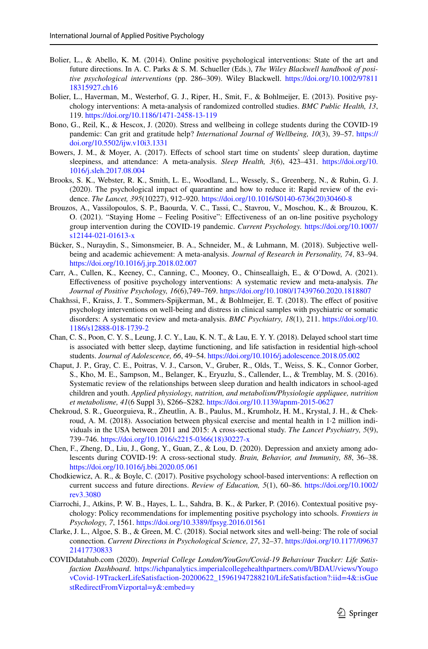- Bolier, L., & Abello, K. M. (2014). Online positive psychological interventions: State of the art and future directions. In A. C. Parks & S. M. Schueller (Eds.), *The Wiley Blackwell handbook of positive psychological interventions* (pp. 286–309). Wiley Blackwell. [https://doi.org/10.1002/97811](https://doi.org/10.1002/9781118315927.ch16) [18315927.ch16](https://doi.org/10.1002/9781118315927.ch16)
- <span id="page-20-8"></span>Bolier, L., Haverman, M., Westerhof, G. J., Riper, H., Smit, F., & Bohlmeijer, E. (2013). Positive psychology interventions: A meta-analysis of randomized controlled studies. *BMC Public Health, 13*, 119. <https://doi.org/10.1186/1471-2458-13-119>
- <span id="page-20-9"></span>Bono, G., Reil, K., & Hescox, J. (2020). Stress and wellbeing in college students during the COVID-19 pandemic: Can grit and gratitude help? *International Journal of Wellbeing, 10*(3), 39–57. [https://](https://doi.org/10.5502/ijw.v10i3.1331) [doi.org/10.5502/ijw.v10i3.1331](https://doi.org/10.5502/ijw.v10i3.1331)
- Bowers, J. M., & Moyer, A. (2017). Efects of school start time on students' sleep duration, daytime sleepiness, and attendance: A meta-analysis. *Sleep Health, 3*(6), 423–431. [https://doi.org/10.](https://doi.org/10.1016/j.sleh.2017.08.004) [1016/j.sleh.2017.08.004](https://doi.org/10.1016/j.sleh.2017.08.004)
- <span id="page-20-12"></span>Brooks, S. K., Webster, R. K., Smith, L. E., Woodland, L., Wessely, S., Greenberg, N., & Rubin, G. J. (2020). The psychological impact of quarantine and how to reduce it: Rapid review of the evidence. *The Lancet, 395*(10227), 912–920. [https://doi.org/10.1016/S0140-6736\(20\)30460-8](https://doi.org/10.1016/S0140-6736(20)30460-8)
- <span id="page-20-10"></span>Brouzos, A., Vassilopoulos, S. P., Baourda, V. C., Tassi, C., Stavrou, V., Moschou, K., & Brouzou, K. O. (2021). "Staying Home – Feeling Positive": Efectiveness of an on-line positive psychology group intervention during the COVID-19 pandemic. *Current Psychology.* [https://doi.org/10.1007/](https://doi.org/10.1007/s12144-021-01613-x) [s12144-021-01613-x](https://doi.org/10.1007/s12144-021-01613-x)
- <span id="page-20-1"></span>Bücker, S., Nuraydin, S., Simonsmeier, B. A., Schneider, M., & Luhmann, M. (2018). Subjective wellbeing and academic achievement: A meta-analysis. *Journal of Research in Personality, 74*, 83–94. <https://doi.org/10.1016/j.jrp.2018.02.007>
- <span id="page-20-6"></span>Carr, A., Cullen, K., Keeney, C., Canning, C., Mooney, O., Chinseallaigh, E., & O'Dowd, A. (2021). Efectiveness of positive psychology interventions: A systematic review and meta-analysis. *The Journal of Positive Psychology, 16*(6),749–769. <https://doi.org/10.1080/17439760.2020.1818807>
- <span id="page-20-7"></span>Chakhssi, F., Kraiss, J. T., Sommers-Spijkerman, M., & Bohlmeijer, E. T. (2018). The efect of positive psychology interventions on well-being and distress in clinical samples with psychiatric or somatic disorders: A systematic review and meta-analysis. *BMC Psychiatry, 18*(1), 211. [https://doi.org/10.](https://doi.org/10.1186/s12888-018-1739-2) [1186/s12888-018-1739-2](https://doi.org/10.1186/s12888-018-1739-2)
- Chan, C. S., Poon, C. Y. S., Leung, J. C. Y., Lau, K. N. T., & Lau, E. Y. Y. (2018). Delayed school start time is associated with better sleep, daytime functioning, and life satisfaction in residential high-school students. *Journal of Adolescence, 66*, 49–54.<https://doi.org/10.1016/j.adolescence.2018.05.002>
- <span id="page-20-2"></span>Chaput, J. P., Gray, C. E., Poitras, V. J., Carson, V., Gruber, R., Olds, T., Weiss, S. K., Connor Gorber, S., Kho, M. E., Sampson, M., Belanger, K., Eryuzlu, S., Callender, L., & Tremblay, M. S. (2016). Systematic review of the relationships between sleep duration and health indicators in school-aged children and youth. *Applied physiology, nutrition, and metabolism/Physiologie appliquee, nutrition et metabolisme, 41*(6 Suppl 3), S266–S282.<https://doi.org/10.1139/apnm-2015-0627>
- <span id="page-20-5"></span>Chekroud, S. R., Gueorguieva, R., Zheutlin, A. B., Paulus, M., Krumholz, H. M., Krystal, J. H., & Chekroud, A. M. (2018). Association between physical exercise and mental health in 1·2 million individuals in the USA between 2011 and 2015: A cross-sectional study. *The Lancet Psychiatry, 5*(9), 739–746. [https://doi.org/10.1016/s2215-0366\(18\)30227-x](https://doi.org/10.1016/s2215-0366(18)30227-x)
- <span id="page-20-4"></span>Chen, F., Zheng, D., Liu, J., Gong, Y., Guan, Z., & Lou, D. (2020). Depression and anxiety among adolescents during COVID-19: A cross-sectional study. *Brain, Behavior, and Immunity, 88*, 36–38. <https://doi.org/10.1016/j.bbi.2020.05.061>
- <span id="page-20-0"></span>Chodkiewicz, A. R., & Boyle, C. (2017). Positive psychology school-based interventions: A refection on current success and future directions. *Review of Education, 5*(1), 60–86. [https://doi.org/10.1002/](https://doi.org/10.1002/rev3.3080) [rev3.3080](https://doi.org/10.1002/rev3.3080)
- <span id="page-20-11"></span>Ciarrochi, J., Atkins, P. W. B., Hayes, L. L., Sahdra, B. K., & Parker, P. (2016). Contextual positive psychology: Policy recommendations for implementing positive psychology into schools. *Frontiers in Psychology, 7*, 1561.<https://doi.org/10.3389/fpsyg.2016.01561>
- <span id="page-20-3"></span>Clarke, J. L., Algoe, S. B., & Green, M. C. (2018). Social network sites and well-being: The role of social connection. *Current Directions in Psychological Science, 27*, 32–37. [https://doi.org/10.1177/09637](https://doi.org/10.1177/0963721417730833) [21417730833](https://doi.org/10.1177/0963721417730833)
- COVIDdatahub.com (2020). *Imperial College London/YouGov/Covid-19 Behaviour Tracker: Life Satisfaction Dashboard*. [https://ichpanalytics.imperialcollegehealthpartners.com/t/BDAU/views/Yougo](https://ichpanalytics.imperialcollegehealthpartners.com/t/BDAU/views/YougovCovid-19TrackerLifeSatisfaction-20200622_15961947288210/LifeSatisfaction?:iid=4&:isGuestRedirectFromVizportal=y&:embed=y) [vCovid-19TrackerLifeSatisfaction-20200622\\_15961947288210/LifeSatisfaction?:iid=4&:isGue](https://ichpanalytics.imperialcollegehealthpartners.com/t/BDAU/views/YougovCovid-19TrackerLifeSatisfaction-20200622_15961947288210/LifeSatisfaction?:iid=4&:isGuestRedirectFromVizportal=y&:embed=y) [stRedirectFromVizportal=y&:embed=y](https://ichpanalytics.imperialcollegehealthpartners.com/t/BDAU/views/YougovCovid-19TrackerLifeSatisfaction-20200622_15961947288210/LifeSatisfaction?:iid=4&:isGuestRedirectFromVizportal=y&:embed=y)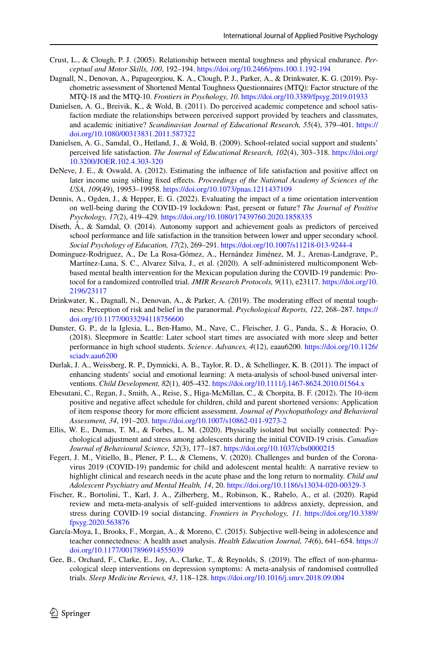- <span id="page-21-12"></span>Crust, L., & Clough, P. J. (2005). Relationship between mental toughness and physical endurance. *Perceptual and Motor Skills, 100*, 192–194.<https://doi.org/10.2466/pms.100.1.192-194>
- <span id="page-21-13"></span>Dagnall, N., Denovan, A., Papageorgiou, K. A., Clough, P. J., Parker, A., & Drinkwater, K. G. (2019). Psychometric assessment of Shortened Mental Toughness Questionnaires (MTQ): Factor structure of the MTQ-18 and the MTQ-10. *Frontiers in Psychology, 10*. <https://doi.org/10.3389/fpsyg.2019.01933>
- <span id="page-21-8"></span>Danielsen, A. G., Breivik, K., & Wold, B. (2011). Do perceived academic competence and school satisfaction mediate the relationships between perceived support provided by teachers and classmates, and academic initiative? *Scandinavian Journal of Educational Research, 55*(4), 379–401. [https://](https://doi.org/10.1080/00313831.2011.587322) [doi.org/10.1080/00313831.2011.587322](https://doi.org/10.1080/00313831.2011.587322)
- <span id="page-21-2"></span>Danielsen, A. G., Samdal, O., Hetland, J., & Wold, B. (2009). School-related social support and students' perceived life satisfaction. *The Journal of Educational Research, 102*(4), 303–318. [https://doi.org/](https://doi.org/10.3200/JOER.102.4.303-320) [10.3200/JOER.102.4.303-320](https://doi.org/10.3200/JOER.102.4.303-320)
- <span id="page-21-0"></span>DeNeve, J. E., & Oswald, A. (2012). Estimating the infuence of life satisfaction and positive afect on later income using sibling fxed efects. *Proceedings of the National Academy of Sciences of the USA, 109*(49), 19953–19958. <https://doi.org/10.1073/pnas.1211437109>
- <span id="page-21-6"></span>Dennis, A., Ogden, J., & Hepper, E. G. (2022). Evaluating the impact of a time orientation intervention on well-being during the COVID-19 lockdown: Past, present or future? *The Journal of Positive Psychology, 17*(2), 419–429*.* <https://doi.org/10.1080/17439760.2020.1858335>
- <span id="page-21-9"></span>Diseth, Å., & Samdal, O. (2014). Autonomy support and achievement goals as predictors of perceived school performance and life satisfaction in the transition between lower and upper secondary school. *Social Psychology of Education, 17*(2), 269–291. <https://doi.org/10.1007/s11218-013-9244-4>
- <span id="page-21-5"></span>Dominguez-Rodriguez, A., De La Rosa-Gómez, A., Hernández Jiménez, M. J., Arenas-Landgrave, P., Martínez-Luna, S. C., Alvarez Silva, J., et al. (2020). A self-administered multicomponent Webbased mental health intervention for the Mexican population during the COVID-19 pandemic: Protocol for a randomized controlled trial. *JMIR Research Protocols, 9*(11), e23117. [https://doi.org/10.](https://doi.org/10.2196/23117) [2196/23117](https://doi.org/10.2196/23117)
- <span id="page-21-11"></span>Drinkwater, K., Dagnall, N., Denovan, A., & Parker, A. (2019). The moderating efect of mental toughness: Perception of risk and belief in the paranormal. *Psychological Reports, 122*, 268–287. [https://](https://doi.org/10.1177/0033294118756600) [doi.org/10.1177/0033294118756600](https://doi.org/10.1177/0033294118756600)
- <span id="page-21-15"></span>Dunster, G. P., de la Iglesia, L., Ben-Hamo, M., Nave, C., Fleischer, J. G., Panda, S., & Horacio, O. (2018). Sleepmore in Seattle: Later school start times are associated with more sleep and better performance in high school students. *Science*. *Advances, 4*(12), eaau6200. [https://doi.org/10.1126/](https://doi.org/10.1126/sciadv.aau6200) [sciadv.aau6200](https://doi.org/10.1126/sciadv.aau6200)
- <span id="page-21-1"></span>Durlak, J. A., Weissberg, R. P., Dymnicki, A. B., Taylor, R. D., & Schellinger, K. B. (2011). The impact of enhancing students' social and emotional learning: A meta-analysis of school-based universal interventions. *Child Development, 82*(1), 405–432.<https://doi.org/10.1111/j.1467-8624.2010.01564.x>
- <span id="page-21-7"></span>Ebesutani, C., Regan, J., Smith, A., Reise, S., Higa-McMillan, C., & Chorpita, B. F. (2012). The 10-item positive and negative afect schedule for children, child and parent shortened versions: Application of item response theory for more efficient assessment. *Journal of Psychopathology and Behavioral Assessment, 34*, 191–203. <https://doi.org/10.1007/s10862-011-9273-2>
- <span id="page-21-3"></span>Ellis, W. E., Dumas, T. M., & Forbes, L. M. (2020). Physically isolated but socially connected: Psychological adjustment and stress among adolescents during the initial COVID-19 crisis. *Canadian Journal of Behavioural Science, 52*(3), 177–187. <https://doi.org/10.1037/cbs0000215>
- <span id="page-21-14"></span>Fegert, J. M., Vitiello, B., Plener, P. L., & Clemens, V. (2020). Challenges and burden of the Coronavirus 2019 (COVID-19) pandemic for child and adolescent mental health: A narrative review to highlight clinical and research needs in the acute phase and the long return to normality. *Child and Adolescent Psychiatry and Mental Health, 14*, 20.<https://doi.org/10.1186/s13034-020-00329-3>
- <span id="page-21-4"></span>Fischer, R., Bortolini, T., Karl, J. A., Zilberberg, M., Robinson, K., Rabelo, A., et al. (2020). Rapid review and meta-meta-analysis of self-guided interventions to address anxiety, depression, and stress during COVID-19 social distancing. *Frontiers in Psychology, 11*. [https://doi.org/10.3389/](https://doi.org/10.3389/fpsyg.2020.563876) [fpsyg.2020.563876](https://doi.org/10.3389/fpsyg.2020.563876)
- <span id="page-21-10"></span>García-Moya, I., Brooks, F., Morgan, A., & Moreno, C. (2015). Subjective well-being in adolescence and teacher connectedness: A health asset analysis. *Health Education Journal, 74*(6), 641–654. [https://](https://doi.org/10.1177/0017896914555039) [doi.org/10.1177/0017896914555039](https://doi.org/10.1177/0017896914555039)
- <span id="page-21-16"></span>Gee, B., Orchard, F., Clarke, E., Joy, A., Clarke, T., & Reynolds, S. (2019). The efect of non-pharmacological sleep interventions on depression symptoms: A meta-analysis of randomised controlled trials. *Sleep Medicine Reviews, 43*, 118–128. <https://doi.org/10.1016/j.smrv.2018.09.004>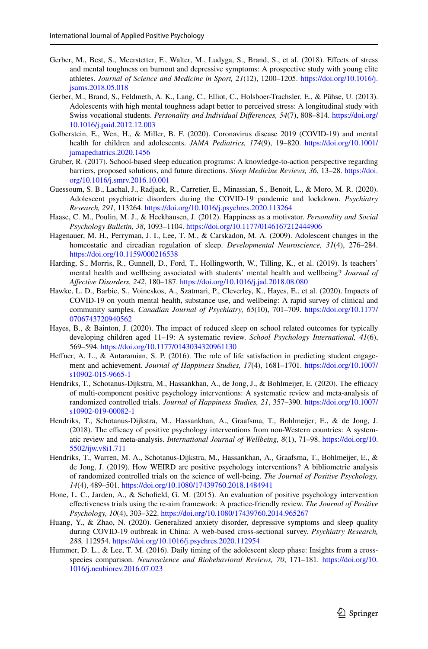- <span id="page-22-11"></span>Gerber, M., Best, S., Meerstetter, F., Walter, M., Ludyga, S., Brand, S., et al. (2018). Efects of stress and mental toughness on burnout and depressive symptoms: A prospective study with young elite athletes. *Journal of Science and Medicine in Sport, 21*(12), 1200–1205. [https://doi.org/10.1016/j.](https://doi.org/10.1016/j.jsams.2018.05.018) [jsams.2018.05.018](https://doi.org/10.1016/j.jsams.2018.05.018)
- <span id="page-22-13"></span>Gerber, M., Brand, S., Feldmeth, A. K., Lang, C., Elliot, C., Holsboer-Trachsler, E., & Pühse, U. (2013). Adolescents with high mental toughness adapt better to perceived stress: A longitudinal study with Swiss vocational students. *Personality and Individual Diferences, 54*(7), 808–814. [https://doi.org/](https://doi.org/10.1016/j.paid.2012.12.003) [10.1016/j.paid.2012.12.003](https://doi.org/10.1016/j.paid.2012.12.003)
- <span id="page-22-16"></span>Golberstein, E., Wen, H., & Miller, B. F. (2020). Coronavirus disease 2019 (COVID-19) and mental health for children and adolescents. *JAMA Pediatrics, 174*(9), 19–820. [https://doi.org/10.1001/](https://doi.org/10.1001/jamapediatrics.2020.1456) [jamapediatrics.2020.1456](https://doi.org/10.1001/jamapediatrics.2020.1456)
- <span id="page-22-14"></span>Gruber, R. (2017). School-based sleep education programs: A knowledge-to-action perspective regarding barriers, proposed solutions, and future directions. *Sleep Medicine Reviews, 36*, 13–28. [https://doi.](https://doi.org/10.1016/j.smrv.2016.10.001) [org/10.1016/j.smrv.2016.10.001](https://doi.org/10.1016/j.smrv.2016.10.001)
- <span id="page-22-12"></span>Guessoum, S. B., Lachal, J., Radjack, R., Carretier, E., Minassian, S., Benoit, L., & Moro, M. R. (2020). Adolescent psychiatric disorders during the COVID-19 pandemic and lockdown. *Psychiatry Research, 291*, 113264. <https://doi.org/10.1016/j.psychres.2020.113264>
- <span id="page-22-5"></span>Haase, C. M., Poulin, M. J., & Heckhausen, J. (2012). Happiness as a motivator. *Personality and Social Psychology Bulletin, 38*, 1093–1104.<https://doi.org/10.1177/0146167212444906>
- <span id="page-22-3"></span>Hagenauer, M. H., Perryman, J. I., Lee, T. M., & Carskadon, M. A. (2009). Adolescent changes in the homeostatic and circadian regulation of sleep. *Developmental Neuroscience, 31*(4), 276–284. <https://doi.org/10.1159/000216538>
- <span id="page-22-15"></span>Harding, S., Morris, R., Gunnell, D., Ford, T., Hollingworth, W., Tilling, K., et al. (2019). Is teachers' mental health and wellbeing associated with students' mental health and wellbeing? *Journal of Afective Disorders, 242*, 180–187. <https://doi.org/10.1016/j.jad.2018.08.080>
- <span id="page-22-1"></span>Hawke, L. D., Barbic, S., Voineskos, A., Szatmari, P., Cleverley, K., Hayes, E., et al. (2020). Impacts of COVID-19 on youth mental health, substance use, and wellbeing: A rapid survey of clinical and community samples. *Canadian Journal of Psychiatry, 65*(10), 701–709. [https://doi.org/10.1177/](https://doi.org/10.1177/0706743720940562) [0706743720940562](https://doi.org/10.1177/0706743720940562)
- <span id="page-22-7"></span>Hayes, B., & Bainton, J. (2020). The impact of reduced sleep on school related outcomes for typically developing children aged 11–19: A systematic review. *School Psychology International, 41*(6), 569–594. <https://doi.org/10.1177/0143034320961130>
- <span id="page-22-6"></span>Hefner, A. L., & Antaramian, S. P. (2016). The role of life satisfaction in predicting student engagement and achievement. *Journal of Happiness Studies, 17*(4), 1681–1701. [https://doi.org/10.1007/](https://doi.org/10.1007/s10902-015-9665-1) [s10902-015-9665-1](https://doi.org/10.1007/s10902-015-9665-1)
- <span id="page-22-9"></span>Hendriks, T., Schotanus-Dijkstra, M., Hassankhan, A., de Jong, J., & Bohlmeijer, E. (2020). The efficacy of multi-component positive psychology interventions: A systematic review and meta-analysis of randomized controlled trials. *Journal of Happiness Studies, 21*, 357–390. [https://doi.org/10.1007/](https://doi.org/10.1007/s10902-019-00082-1) [s10902-019-00082-1](https://doi.org/10.1007/s10902-019-00082-1)
- <span id="page-22-8"></span>Hendriks, T., Schotanus-Dijkstra, M., Hassankhan, A., Graafsma, T., Bohlmeijer, E., & de Jong, J.  $(2018)$ . The efficacy of positive psychology interventions from non-Western countries: A systematic review and meta-analysis. *International Journal of Wellbeing, 8*(1), 71–98. [https://doi.org/10.](https://doi.org/10.5502/ijw.v8i1.711) [5502/ijw.v8i1.711](https://doi.org/10.5502/ijw.v8i1.711)
- <span id="page-22-0"></span>Hendriks, T., Warren, M. A., Schotanus-Dijkstra, M., Hassankhan, A., Graafsma, T., Bohlmeijer, E., & de Jong, J. (2019). How WEIRD are positive psychology interventions? A bibliometric analysis of randomized controlled trials on the science of well-being. *The Journal of Positive Psychology, 14*(4), 489–501. <https://doi.org/10.1080/17439760.2018.1484941>
- <span id="page-22-10"></span>Hone, L. C., Jarden, A., & Schofeld, G. M. (2015). An evaluation of positive psychology intervention efectiveness trials using the re-aim framework: A practice-friendly review. *The Journal of Positive Psychology, 10*(4), 303–322.<https://doi.org/10.1080/17439760.2014.965267>
- <span id="page-22-2"></span>Huang, Y., & Zhao, N. (2020). Generalized anxiety disorder, depressive symptoms and sleep quality during COVID-19 outbreak in China: A web-based cross-sectional survey. *Psychiatry Research, 288,* 112954. <https://doi.org/10.1016/j.psychres.2020.112954>
- <span id="page-22-4"></span>Hummer, D. L., & Lee, T. M. (2016). Daily timing of the adolescent sleep phase: Insights from a crossspecies comparison. *Neuroscience and Biobehavioral Reviews, 70*, 171–181. [https://doi.org/10.](https://doi.org/10.1016/j.neubiorev.2016.07.023) [1016/j.neubiorev.2016.07.023](https://doi.org/10.1016/j.neubiorev.2016.07.023)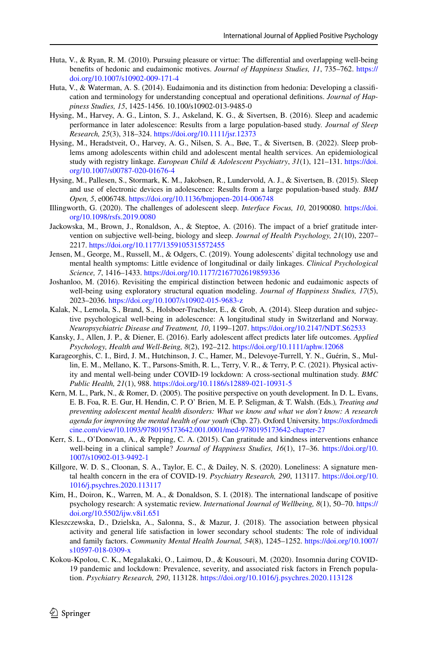- <span id="page-23-2"></span>Huta, V., & Ryan, R. M. (2010). Pursuing pleasure or virtue: The diferential and overlapping well-being benefts of hedonic and eudaimonic motives. *Journal of Happiness Studies, 11*, 735–762. [https://](https://doi.org/10.1007/s10902-009-171-4) [doi.org/10.1007/s10902-009-171-4](https://doi.org/10.1007/s10902-009-171-4)
- <span id="page-23-3"></span>Huta, V., & Waterman, A. S. (2014). Eudaimonia and its distinction from hedonia: Developing a classifcation and terminology for understanding conceptual and operational defnitions. *Journal of Happiness Studies, 15*, 1425-1456. 10.100/s10902-013-9485-0
- <span id="page-23-6"></span>Hysing, M., Harvey, A. G., Linton, S. J., Askeland, K. G., & Sivertsen, B. (2016). Sleep and academic performance in later adolescence: Results from a large population-based study. *Journal of Sleep Research, 25*(3), 318–324.<https://doi.org/10.1111/jsr.12373>
- <span id="page-23-1"></span>Hysing, M., Heradstveit, O., Harvey, A. G., Nilsen, S. A., Bøe, T., & Sivertsen, B. (2022). Sleep problems among adolescents within child and adolescent mental health services. An epidemiological study with registry linkage. *European Child & Adolescent Psychiatry*, *31*(1), 121–131. [https://doi.](https://doi.org/10.1007/s00787-020-01676-4) [org/10.1007/s00787-020-01676-4](https://doi.org/10.1007/s00787-020-01676-4)
- <span id="page-23-8"></span>Hysing, M., Pallesen, S., Stormark, K. M., Jakobsen, R., Lundervold, A. J., & Sivertsen, B. (2015). Sleep and use of electronic devices in adolescence: Results from a large population-based study. *BMJ Open, 5*, e006748.<https://doi.org/10.1136/bmjopen-2014-006748>
- <span id="page-23-9"></span>Illingworth, G. (2020). The challenges of adolescent sleep. *Interface Focus, 10*, 20190080. [https://doi.](https://doi.org/10.1098/rsfs.2019.0080) [org/10.1098/rsfs.2019.0080](https://doi.org/10.1098/rsfs.2019.0080)
- <span id="page-23-14"></span>Jackowska, M., Brown, J., Ronaldson, A., & Steptoe, A. (2016). The impact of a brief gratitude intervention on subjective well-being, biology and sleep. *Journal of Health Psychology, 21*(10), 2207– 2217. <https://doi.org/10.1177/1359105315572455>
- <span id="page-23-11"></span>Jensen, M., George, M., Russell, M., & Odgers, C. (2019). Young adolescents' digital technology use and mental health symptoms: Little evidence of longitudinal or daily linkages. *Clinical Psychological Science, 7*, 1416–1433. <https://doi.org/10.1177/2167702619859336>
- <span id="page-23-4"></span>Joshanloo, M. (2016). Revisiting the empirical distinction between hedonic and eudaimonic aspects of well-being using exploratory structural equation modeling. *Journal of Happiness Studies, 17*(5), 2023–2036. <https://doi.org/10.1007/s10902-015-9683-z>
- <span id="page-23-7"></span>Kalak, N., Lemola, S., Brand, S., Holsboer-Trachsler, E., & Grob, A. (2014). Sleep duration and subjective psychological well-being in adolescence: A longitudinal study in Switzerland and Norway. *Neuropsychiatric Disease and Treatment, 10*, 1199–1207. <https://doi.org/10.2147/NDT.S62533>
- <span id="page-23-5"></span>Kansky, J., Allen, J. P., & Diener, E. (2016). Early adolescent afect predicts later life outcomes. *Applied Psychology, Health and Well-Being, 8*(2), 192–212. <https://doi.org/10.1111/aphw.12068>
- <span id="page-23-12"></span>Karageorghis, C. I., Bird, J. M., Hutchinson, J. C., Hamer, M., Delevoye-Turrell, Y. N., Guérin, S., Mullin, E. M., Mellano, K. T., Parsons-Smith, R. L., Terry, V. R., & Terry, P. C. (2021). Physical activity and mental well-being under COVID-19 lockdown: A cross-sectional multination study. *BMC Public Health, 21*(1), 988.<https://doi.org/10.1186/s12889-021-10931-5>
- Kern, M. L., Park, N., & Romer, D. (2005). The positive perspective on youth development. In D. L. Evans, E. B. Foa, R. E. Gur, H. Hendin, C. P. O' Brien, M. E. P. Seligman, & T. Walsh. (Eds.)*, Treating and preventing adolescent mental health disorders: What we know and what we don't know: A research agenda for improving the mental health of our youth* (Chp. 27). Oxford University. [https://oxfordmedi](https://oxfordmedicine.com/view/10.1093/9780195173642.001.0001/med-9780195173642-chapter-27) [cine.com/view/10.1093/9780195173642.001.0001/med-9780195173642-chapter-27](https://oxfordmedicine.com/view/10.1093/9780195173642.001.0001/med-9780195173642-chapter-27)
- <span id="page-23-13"></span>Kerr, S. L., O'Donovan, A., & Pepping, C. A. (2015). Can gratitude and kindness interventions enhance well-being in a clinical sample? *Journal of Happiness Studies, 16*(1), 17–36. [https://doi.org/10.](https://doi.org/10.1007/s10902-013-9492-1) [1007/s10902-013-9492-1](https://doi.org/10.1007/s10902-013-9492-1)
- <span id="page-23-15"></span>Killgore, W. D. S., Cloonan, S. A., Taylor, E. C., & Dailey, N. S. (2020). Loneliness: A signature mental health concern in the era of COVID-19. *Psychiatry Research, 290*, 113117. [https://doi.org/10.](https://doi.org/10.1016/j.psychres.2020.113117) [1016/j.psychres.2020.113117](https://doi.org/10.1016/j.psychres.2020.113117)
- <span id="page-23-0"></span>Kim, H., Doiron, K., Warren, M. A., & Donaldson, S. I. (2018). The international landscape of positive psychology research: A systematic review. *International Journal of Wellbeing, 8*(1), 50–70. [https://](https://doi.org/10.5502/ijw.v8i1.651) [doi.org/10.5502/ijw.v8i1.651](https://doi.org/10.5502/ijw.v8i1.651)
- <span id="page-23-10"></span>Kleszczewska, D., Dzielska, A., Salonna, S., & Mazur, J. (2018). The association between physical activity and general life satisfaction in lower secondary school students: The role of individual and family factors. *Community Mental Health Journal, 54*(8), 1245–1252. [https://doi.org/10.1007/](https://doi.org/10.1007/s10597-018-0309-x) [s10597-018-0309-x](https://doi.org/10.1007/s10597-018-0309-x)
- <span id="page-23-16"></span>Kokou-Kpolou, C. K., Megalakaki, O., Laimou, D., & Kousouri, M. (2020). Insomnia during COVID-19 pandemic and lockdown: Prevalence, severity, and associated risk factors in French population. *Psychiatry Research, 290*, 113128. <https://doi.org/10.1016/j.psychres.2020.113128>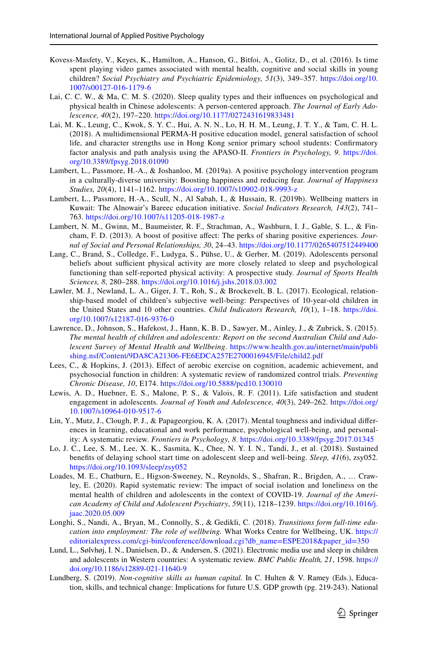- <span id="page-24-7"></span>Kovess-Masfety, V., Keyes, K., Hamilton, A., Hanson, G., Bitfoi, A., Golitz, D., et al. (2016). Is time spent playing video games associated with mental health, cognitive and social skills in young children? *Social Psychiatry and Psychiatric Epidemiology, 51*(3), 349–357. [https://doi.org/10.](https://doi.org/10.1007/s00127-016-1179-6) [1007/s00127-016-1179-6](https://doi.org/10.1007/s00127-016-1179-6)
- <span id="page-24-5"></span>Lai, C. C. W., & Ma, C. M. S. (2020). Sleep quality types and their infuences on psychological and physical health in Chinese adolescents: A person-centered approach. *The Journal of Early Adolescence, 40*(2), 197–220. <https://doi.org/10.1177/0272431619833481>
- <span id="page-24-0"></span>Lai, M. K., Leung, C., Kwok, S. Y. C., Hui, A. N. N., Lo, H. H. M., Leung, J. T. Y., & Tam, C. H. L. (2018). A multidimensional PERMA-H positive education model, general satisfaction of school life, and character strengths use in Hong Kong senior primary school students: Confrmatory factor analysis and path analysis using the APASO-II. *Frontiers in Psychology, 9*. [https://doi.](https://doi.org/10.3389/fpsyg.2018.01090) [org/10.3389/fpsyg.2018.01090](https://doi.org/10.3389/fpsyg.2018.01090)
- <span id="page-24-11"></span>Lambert, L., Passmore, H.-A., & Joshanloo, M. (2019a). A positive psychology intervention program in a culturally-diverse university: Boosting happiness and reducing fear. *Journal of Happiness Studies, 20*(4), 1141–1162. <https://doi.org/10.1007/s10902-018-9993-z>
- <span id="page-24-9"></span>Lambert, L., Passmore, H.-A., Scull, N., Al Sabah, I., & Hussain, R. (2019b). Wellbeing matters in Kuwait: The Alnowair's Bareec education initiative. *Social Indicators Research, 143*(2), 741– 763. <https://doi.org/10.1007/s11205-018-1987-z>
- Lambert, N. M., Gwinn, M., Baumeister, R. F., Strachman, A., Washburn, I. J., Gable, S. L., & Fincham, F. D. (2013). A boost of positive afect: The perks of sharing positive experiences. *Journal of Social and Personal Relationships, 30*, 24–43. <https://doi.org/10.1177/0265407512449400>
- <span id="page-24-12"></span>Lang, C., Brand, S., Colledge, F., Ludyga, S., Pühse, U., & Gerber, M. (2019). Adolescents personal beliefs about sufficient physical activity are more closely related to sleep and psychological functioning than self-reported physical activity: A prospective study. *Journal of Sports Health Sciences, 8*, 280–288. <https://doi.org/10.1016/j.jshs.2018.03.002>
- <span id="page-24-14"></span>Lawler, M. J., Newland, L. A., Giger, J. T., Roh, S., & Brockevelt, B. L. (2017). Ecological, relationship-based model of children's subjective well-being: Perspectives of 10-year-old children in the United States and 10 other countries. *Child Indicators Research, 10*(1), 1–18. [https://doi.](https://doi.org/10.1007/s12187-016-9376-0) [org/10.1007/s12187-016-9376-0](https://doi.org/10.1007/s12187-016-9376-0)
- <span id="page-24-1"></span>Lawrence, D., Johnson, S., Hafekost, J., Hann, K. B. D., Sawyer, M., Ainley, J., & Zubrick, S. (2015). *The mental health of children and adolescents: Report on the second Australian Child and Adolescent Survey of Mental Health and Wellbeing*. [https://www.health.gov.au/internet/main/publi](https://www.health.gov.au/internet/main/publishing.nsf/Content/9DA8CA21306-FE6EDCA257E2700016945/$File/child2.pdf) [shing.nsf/Content/9DA8CA21306-FE6EDCA257E2700016945/File/child2.pdf](https://www.health.gov.au/internet/main/publishing.nsf/Content/9DA8CA21306-FE6EDCA257E2700016945/$File/child2.pdf)
- <span id="page-24-8"></span>Lees, C., & Hopkins, J. (2013). Efect of aerobic exercise on cognition, academic achievement, and psychosocial function in children: A systematic review of randomized control trials. *Preventing Chronic Disease, 10*, E174. <https://doi.org/10.5888/pcd10.130010>
- <span id="page-24-3"></span>Lewis, A. D., Huebner, E. S., Malone, P. S., & Valois, R. F. (2011). Life satisfaction and student engagement in adolescents. *Journal of Youth and Adolescence, 40*(3), 249–262. [https://doi.org/](https://doi.org/10.1007/s10964-010-9517-6) [10.1007/s10964-010-9517-6](https://doi.org/10.1007/s10964-010-9517-6)
- <span id="page-24-13"></span>Lin, Y., Mutz, J., Clough, P. J., & Papageorgiou, K. A. (2017). Mental toughness and individual diferences in learning, educational and work performance, psychological well-being, and personality: A systematic review. *Frontiers in Psychology, 8*. <https://doi.org/10.3389/fpsyg.2017.01345>
- Lo, J. C., Lee, S. M., Lee, X. K., Sasmita, K., Chee, N. Y. I. N., Tandi, J., et al. (2018). Sustained benefts of delaying school start time on adolescent sleep and well-being. *Sleep, 41*(6), zsy052. <https://doi.org/10.1093/sleep/zsy052>
- <span id="page-24-10"></span>Loades, M. E., Chatburn, E., Higson-Sweeney, N., Reynolds, S., Shafran, R., Brigden, A., … Crawley, E. (2020). Rapid systematic review: The impact of social isolation and loneliness on the mental health of children and adolescents in the context of COVID-19. *Journal of the American Academy of Child and Adolescent Psychiatry*, *59*(11), 1218–1239. [https://doi.org/10.1016/j.](https://doi.org/10.1016/j.jaac.2020.05.009) [jaac.2020.05.009](https://doi.org/10.1016/j.jaac.2020.05.009)
- <span id="page-24-2"></span>Longhi, S., Nandi, A., Bryan, M., Connolly, S., & Gedikli, C. (2018). *Transitions form full-time education into employment: The role of wellbeing.* What Works Centre for Wellbeing, UK. [https://](https://editorialexpress.com/cgi-bin/conference/download.cgi?db_name=ESPE2018&paper_id=350) [editorialexpress.com/cgi-bin/conference/download.cgi?db\\_name=ESPE2018&paper\\_id=350](https://editorialexpress.com/cgi-bin/conference/download.cgi?db_name=ESPE2018&paper_id=350)
- <span id="page-24-6"></span>Lund, L., Sølvhøj, I. N., Danielsen, D., & Andersen, S. (2021). Electronic media use and sleep in children and adolescents in Western countries: A systematic review. *BMC Public Health, 21*, 1598. [https://](https://doi.org/10.1186/s12889-021-11640-9) [doi.org/10.1186/s12889-021-11640-9](https://doi.org/10.1186/s12889-021-11640-9)
- <span id="page-24-4"></span>Lundberg, S. (2019). *Non-cognitive skills as human capital.* In C. Hulten & V. Ramey (Eds.), Education, skills, and technical change: Implications for future U.S. GDP growth (pg. 219-243). National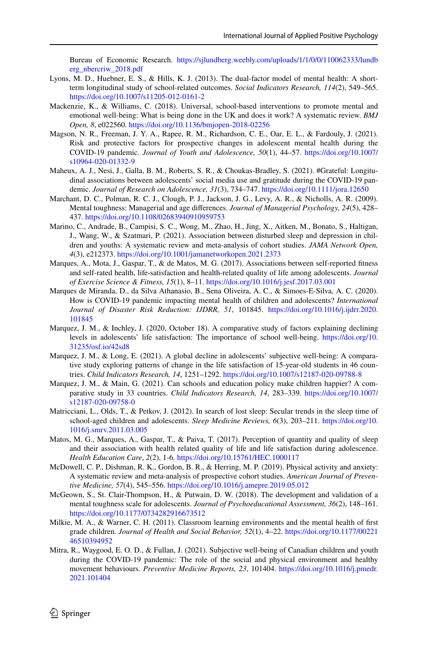Bureau of Economic Research. [https://sjlundberg.weebly.com/uploads/1/1/0/0/110062333/lundb](https://sjlundberg.weebly.com/uploads/1/1/0/0/110062333/lundberg_nbercriw_2018.pdf) [erg\\_nbercriw\\_2018.pdf](https://sjlundberg.weebly.com/uploads/1/1/0/0/110062333/lundberg_nbercriw_2018.pdf)

- <span id="page-25-6"></span>Lyons, M. D., Huebner, E. S., & Hills, K. J. (2013). The dual-factor model of mental health: A shortterm longitudinal study of school-related outcomes. *Social Indicators Research, 114*(2), 549–565. <https://doi.org/10.1007/s11205-012-0161-2>
- <span id="page-25-13"></span>Mackenzie, K., & Williams, C. (2018). Universal, school-based interventions to promote mental and emotional well-being: What is being done in the UK and does it work? A systematic review. *BMJ Open, 8*, e022560.<https://doi.org/10.1136/bmjopen-2018-02256>
- <span id="page-25-12"></span>Magson, N. R., Freeman, J. Y. A., Rapee, R. M., Richardson, C. E., Oar, E. L., & Fardouly, J. (2021). Risk and protective factors for prospective changes in adolescent mental health during the COVID-19 pandemic. *Journal of Youth and Adolescence, 50*(1), 44–57. [https://doi.org/10.1007/](https://doi.org/10.1007/s10964-020-01332-9) [s10964-020-01332-9](https://doi.org/10.1007/s10964-020-01332-9)
- <span id="page-25-8"></span>Maheux, A. J., Nesi, J., Galla, B. M., Roberts, S. R., & Choukas-Bradley, S. (2021). #Grateful: Longitudinal associations between adolescents' social media use and gratitude during the COVID-19 pandemic. *Journal of Research on Adolescence, 31*(3), 734–747. <https://doi.org/10.1111/jora.12650>
- <span id="page-25-11"></span>Marchant, D. C., Polman, R. C. J., Clough, P. J., Jackson, J. G., Levy, A. R., & Nicholls, A. R. (2009). Mental toughness: Managerial and age diferences. *Journal of Managerial Psychology, 24*(5), 428– 437. <https://doi.org/10.1108/02683940910959753>
- <span id="page-25-3"></span>Marino, C., Andrade, B., Campisi, S. C., Wong, M., Zhao, H., Jing, X., Aitken, M., Bonato, S., Haltigan, J., Wang, W., & Szatmari, P. (2021). Association between disturbed sleep and depression in children and youths: A systematic review and meta-analysis of cohort studies. *JAMA Network Open, 4*(3), e212373.<https://doi.org/10.1001/jamanetworkopen.2021.2373>
- <span id="page-25-7"></span>Marques, A., Mota, J., Gaspar, T., & de Matos, M. G. (2017). Associations between self-reported ftness and self-rated health, life-satisfaction and health-related quality of life among adolescents. *Journal of Exercise Science & Fitness, 15*(1), 8–11. <https://doi.org/10.1016/j.jesf.2017.03.001>
- <span id="page-25-0"></span>Marques de Miranda, D., da Silva Athanasio, B., Sena Oliveira, A. C., & Simoes-E-Silva, A. C. (2020). How is COVID-19 pandemic impacting mental health of children and adolescents? *International Journal of Disaster Risk Reduction: IJDRR, 51*, 101845. [https://doi.org/10.1016/j.ijdrr.2020.](https://doi.org/10.1016/j.ijdrr.2020.101845) [101845](https://doi.org/10.1016/j.ijdrr.2020.101845)
- <span id="page-25-16"></span>Marquez, J. M., & Inchley, J. (2020, October 18). A comparative study of factors explaining declining levels in adolescents' life satisfaction: The importance of school well-being. [https://doi.org/10.](https://doi.org/10.31235/osf.io/42sd8) [31235/osf.io/42sd8](https://doi.org/10.31235/osf.io/42sd8)
- <span id="page-25-1"></span>Marquez, J. M., & Long, E. (2021). A global decline in adolescents' subjective well-being: A comparative study exploring patterns of change in the life satisfaction of 15-year-old students in 46 countries. *Child Indicators Research, 14*, 1251–1292.<https://doi.org/10.1007/s12187-020-09788-8>
- <span id="page-25-14"></span>Marquez, J. M., & Main, G. (2021). Can schools and education policy make children happier? A comparative study in 33 countries. *Child Indicators Research, 14*, 283–339. [https://doi.org/10.1007/](https://doi.org/10.1007/s12187-020-09758-0) [s12187-020-09758-0](https://doi.org/10.1007/s12187-020-09758-0)
- <span id="page-25-4"></span>Matricciani, L., Olds, T., & Petkov, J. (2012). In search of lost sleep: Secular trends in the sleep time of school-aged children and adolescents. *Sleep Medicine Reviews, 6*(3), 203–211. [https://doi.org/10.](https://doi.org/10.1016/j.smrv.2011.03.005) [1016/j.smrv.2011.03.005](https://doi.org/10.1016/j.smrv.2011.03.005)
- <span id="page-25-2"></span>Matos, M. G., Marques, A., Gaspar, T., & Paiva, T. (2017). Perception of quantity and quality of sleep and their association with health related quality of life and life satisfaction during adolescence. *Health Education Care*, *2*(2), 1-6. <https://doi.org/10.15761/HEC.1000117>
- <span id="page-25-9"></span>McDowell, C. P., Dishman, R. K., Gordon, B. R., & Herring, M. P. (2019). Physical activity and anxiety: A systematic review and meta-analysis of prospective cohort studies. *American Journal of Preventive Medicine, 57*(4), 545–556.<https://doi.org/10.1016/j.amepre.2019.05.012>
- <span id="page-25-10"></span>McGeown, S., St. Clair-Thompson, H., & Putwain, D. W. (2018). The development and validation of a mental toughness scale for adolescents. *Journal of Psychoeducational Assessment, 36*(2), 148–161. <https://doi.org/10.1177/0734282916673512>
- <span id="page-25-15"></span>Milkie, M. A., & Warner, C. H. (2011). Classroom learning environments and the mental health of frst grade children. *Journal of Health and Social Behavior, 52*(1), 4–22. [https://doi.org/10.1177/00221](https://doi.org/10.1177/0022146510394952) [46510394952](https://doi.org/10.1177/0022146510394952)
- <span id="page-25-5"></span>Mitra, R., Waygood, E. O. D., & Fullan, J. (2021). Subjective well-being of Canadian children and youth during the COVID-19 pandemic: The role of the social and physical environment and healthy movement behaviours. *Preventive Medicine Reports, 23*, 101404. [https://doi.org/10.1016/j.pmedr.](https://doi.org/10.1016/j.pmedr.2021.101404) [2021.101404](https://doi.org/10.1016/j.pmedr.2021.101404)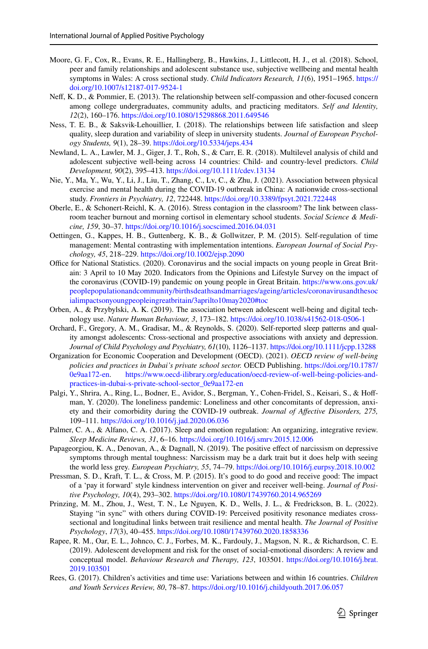- <span id="page-26-11"></span>Moore, G. F., Cox, R., Evans, R. E., Hallingberg, B., Hawkins, J., Littlecott, H. J., et al. (2018). School, peer and family relationships and adolescent substance use, subjective wellbeing and mental health symptoms in Wales: A cross sectional study. *Child Indicators Research, 11*(6), 1951–1965. [https://](https://doi.org/10.1007/s12187-017-9524-1) [doi.org/10.1007/s12187-017-9524-1](https://doi.org/10.1007/s12187-017-9524-1)
- <span id="page-26-10"></span>Nef, K. D., & Pommier, E. (2013). The relationship between self-compassion and other-focused concern among college undergraduates, community adults, and practicing meditators. *Self and Identity, 12*(2), 160–176. <https://doi.org/10.1080/15298868.2011.649546>
- <span id="page-26-2"></span>Ness, T. E. B., & Saksvik-Lehouillier, I. (2018). The relationships between life satisfaction and sleep quality, sleep duration and variability of sleep in university students. *Journal of European Psychology Students, 9*(1), 28–39. <https://doi.org/10.5334/jeps.434>
- <span id="page-26-12"></span>Newland, L. A., Lawler, M. J., Giger, J. T., Roh, S., & Carr, E. R. (2018). Multilevel analysis of child and adolescent subjective well-being across 14 countries: Child- and country-level predictors. *Child Development, 90*(2), 395–413. <https://doi.org/10.1111/cdev.13134>
- <span id="page-26-5"></span>Nie, Y., Ma, Y., Wu, Y., Li, J., Liu, T., Zhang, C., Lv, C., & Zhu, J. (2021). Association between physical exercise and mental health during the COVID-19 outbreak in China: A nationwide cross-sectional study. *Frontiers in Psychiatry, 12*, 722448.<https://doi.org/10.3389/fpsyt.2021.722448>
- <span id="page-26-15"></span>Oberle, E., & Schonert-Reichl, K. A. (2016). Stress contagion in the classroom? The link between classroom teacher burnout and morning cortisol in elementary school students. *Social Science & Medicine, 159*, 30–37. <https://doi.org/10.1016/j.socscimed.2016.04.031>
- <span id="page-26-9"></span>Oettingen, G., Kappes, H. B., Guttenberg, K. B., & Gollwitzer, P. M. (2015). Self-regulation of time management: Mental contrasting with implementation intentions. *European Journal of Social Psychology, 45*, 218–229. <https://doi.org/10.1002/ejsp.2090>
- Office for National Statistics. (2020). Coronavirus and the social impacts on young people in Great Britain: 3 April to 10 May 2020. Indicators from the Opinions and Lifestyle Survey on the impact of the coronavirus (COVID-19) pandemic on young people in Great Britain. [https://www.ons.gov.uk/](https://www.ons.gov.uk/peoplepopulationandcommunity/birthsdeathsandmarriages/ageing/articles/coronavirusandthesocialimpactsonyoungpeopleingreatbritain/3aprilto10may2020#toc) [peoplepopulationandcommunity/birthsdeathsandmarriages/ageing/articles/coronavirusandthesoc](https://www.ons.gov.uk/peoplepopulationandcommunity/birthsdeathsandmarriages/ageing/articles/coronavirusandthesocialimpactsonyoungpeopleingreatbritain/3aprilto10may2020#toc) [ialimpactsonyoungpeopleingreatbritain/3aprilto10may2020#toc](https://www.ons.gov.uk/peoplepopulationandcommunity/birthsdeathsandmarriages/ageing/articles/coronavirusandthesocialimpactsonyoungpeopleingreatbritain/3aprilto10may2020#toc)
- <span id="page-26-4"></span>Orben, A., & Przybylski, A. K. (2019). The association between adolescent well-being and digital technology use. *Nature Human Behaviour, 3*, 173–182. <https://doi.org/10.1038/s41562-018-0506-1>
- <span id="page-26-1"></span>Orchard, F., Gregory, A. M., Gradisar, M., & Reynolds, S. (2020). Self-reported sleep patterns and quality amongst adolescents: Cross-sectional and prospective associations with anxiety and depression. *Journal of Child Psychology and Psychiatry, 61*(10), 1126–1137. <https://doi.org/10.1111/jcpp.13288>
- <span id="page-26-16"></span>Organization for Economic Cooperation and Development (OECD). (2021). *OECD review of well-being policies and practices in Dubai's private school sector.* OECD Publishing. [https://doi.org/10.1787/](https://doi.org/10.1787/0e9aa172-en) [https://www.oecd-ilibrary.org/education/oecd-review-of-well-being-policies-and](https://www.oecd-ilibrary.org/education/oecd-review-of-well-being-policies-and-practices-in-dubai-s-private-school-sector_0e9aa172-en)[practices-in-dubai-s-private-school-sector\\_0e9aa172-en](https://www.oecd-ilibrary.org/education/oecd-review-of-well-being-policies-and-practices-in-dubai-s-private-school-sector_0e9aa172-en)
- <span id="page-26-7"></span>Palgi, Y., Shrira, A., Ring, L., Bodner, E., Avidor, S., Bergman, Y., Cohen-Fridel, S., Keisari, S., & Hoffman, Y. (2020). The loneliness pandemic: Loneliness and other concomitants of depression, anxiety and their comorbidity during the COVID-19 outbreak. *Journal of Afective Disorders, 275,* 109–111. <https://doi.org/10.1016/j.jad.2020.06.036>
- <span id="page-26-0"></span>Palmer, C. A., & Alfano, C. A. (2017). Sleep and emotion regulation: An organizing, integrative review. *Sleep Medicine Reviews, 31*, 6–16. <https://doi.org/10.1016/j.smrv.2015.12.006>
- <span id="page-26-14"></span>Papageorgiou, K. A., Denovan, A., & Dagnall, N. (2019). The positive efect of narcissism on depressive symptoms through mental toughness: Narcissism may be a dark trait but it does help with seeing the world less grey. *European Psychiatry, 55*, 74–79. <https://doi.org/10.1016/j.eurpsy.2018.10.002>
- <span id="page-26-6"></span>Pressman, S. D., Kraft, T. L., & Cross, M. P. (2015). It's good to do good and receive good: The impact of a 'pay it forward' style kindness intervention on giver and receiver well-being. *Journal of Positive Psychology, 10*(4), 293–302. <https://doi.org/10.1080/17439760.2014.965269>
- <span id="page-26-8"></span>Prinzing, M. M., Zhou, J., West, T. N., Le Nguyen, K. D., Wells, J. L., & Fredrickson, B. L. (2022). Staying "in sync" with others during COVID-19: Perceived positivity resonance mediates crosssectional and longitudinal links between trait resilience and mental health. *The Journal of Positive Psychology*, *17*(3), 40–455.<https://doi.org/10.1080/17439760.2020.1858336>
- <span id="page-26-13"></span>Rapee, R. M., Oar, E. L., Johnco, C. J., Forbes, M. K., Fardouly, J., Magson, N. R., & Richardson, C. E. (2019). Adolescent development and risk for the onset of social-emotional disorders: A review and conceptual model. *Behaviour Research and Therapy, 123*, 103501. [https://doi.org/10.1016/j.brat.](https://doi.org/10.1016/j.brat.2019.103501) [2019.103501](https://doi.org/10.1016/j.brat.2019.103501)
- <span id="page-26-3"></span>Rees, G. (2017). Children's activities and time use: Variations between and within 16 countries. *Children and Youth Services Review, 80*, 78–87.<https://doi.org/10.1016/j.childyouth.2017.06.057>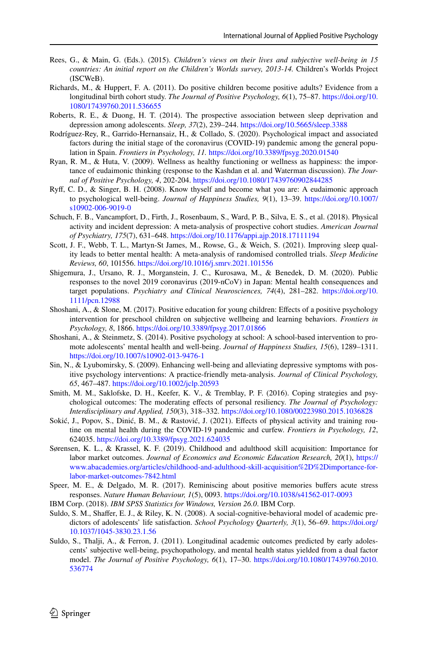- <span id="page-27-9"></span>Rees, G., & Main, G. (Eds.). (2015). *Children's views on their lives and subjective well-being in 15 countries: An initial report on the Children's Worlds survey, 2013-14.* Children's Worlds Project (ISCWeB).
- <span id="page-27-5"></span>Richards, M., & Huppert, F. A. (2011). Do positive children become positive adults? Evidence from a longitudinal birth cohort study. *The Journal of Positive Psychology, 6*(1), 75–87. [https://doi.org/10.](https://doi.org/10.1080/17439760.2011.536655) [1080/17439760.2011.536655](https://doi.org/10.1080/17439760.2011.536655)
- <span id="page-27-0"></span>Roberts, R. E., & Duong, H. T. (2014). The prospective association between sleep deprivation and depression among adolescents. *Sleep, 37*(2), 239–244.<https://doi.org/10.5665/sleep.3388>
- <span id="page-27-15"></span>Rodríguez-Rey, R., Garrido-Hernansaiz, H., & Collado, S. (2020). Psychological impact and associated factors during the initial stage of the coronavirus (COVID-19) pandemic among the general population in Spain. *Frontiers in Psychology, 11.* <https://doi.org/10.3389/fpsyg.2020.01540>
- <span id="page-27-2"></span>Ryan, R. M., & Huta, V. (2009). Wellness as healthy functioning or wellness as happiness: the importance of eudaimonic thinking (response to the Kashdan et al. and Waterman discussion). *The Journal of Positive Psychology, 4*, 202-204.<https://doi.org/10.1080/17439760902844285>
- <span id="page-27-1"></span>Ryf, C. D., & Singer, B. H. (2008). Know thyself and become what you are: A eudaimonic approach to psychological well-being. *Journal of Happiness Studies, 9*(1), 13–39. [https://doi.org/10.1007/](https://doi.org/10.1007/s10902-006-9019-0) [s10902-006-9019-0](https://doi.org/10.1007/s10902-006-9019-0)
- <span id="page-27-7"></span>Schuch, F. B., Vancampfort, D., Firth, J., Rosenbaum, S., Ward, P. B., Silva, E. S., et al. (2018). Physical activity and incident depression: A meta-analysis of prospective cohort studies. *American Journal of Psychiatry, 175*(7), 631–648.<https://doi.org/10.1176/appi.ajp.2018.17111194>
- <span id="page-27-16"></span>Scott, J. F., Webb, T. L., Martyn-St James, M., Rowse, G., & Weich, S. (2021). Improving sleep quality leads to better mental health: A meta-analysis of randomised controlled trials. *Sleep Medicine Reviews, 60*, 101556.<https://doi.org/10.1016/j.smrv.2021.101556>
- <span id="page-27-13"></span>Shigemura, J., Ursano, R. J., Morganstein, J. C., Kurosawa, M., & Benedek, D. M. (2020). Public responses to the novel 2019 coronavirus (2019-nCoV) in Japan: Mental health consequences and target populations. *Psychiatry and Clinical Neurosciences, 74*(4), 281–282. [https://doi.org/10.](https://doi.org/10.1111/pcn.12988) [1111/pcn.12988](https://doi.org/10.1111/pcn.12988)
- <span id="page-27-12"></span>Shoshani, A., & Slone, M. (2017). Positive education for young children: Efects of a positive psychology intervention for preschool children on subjective wellbeing and learning behaviors. *Frontiers in Psychology, 8*, 1866.<https://doi.org/10.3389/fpsyg.2017.01866>
- <span id="page-27-11"></span>Shoshani, A., & Steinmetz, S. (2014). Positive psychology at school: A school-based intervention to promote adolescents' mental health and well-being. *Journal of Happiness Studies, 15*(6), 1289–1311. <https://doi.org/10.1007/s10902-013-9476-1>
- <span id="page-27-10"></span>Sin, N., & Lyubomirsky, S. (2009). Enhancing well-being and alleviating depressive symptoms with positive psychology interventions: A practice-friendly meta-analysis. *Journal of Clinical Psychology, 65*, 467–487. <https://doi.org/10.1002/jclp.20593>
- Smith, M. M., Saklofske, D. H., Keefer, K. V., & Tremblay, P. F. (2016). Coping strategies and psychological outcomes: The moderating efects of personal resiliency. *The Journal of Psychology: Interdisciplinary and Applied, 150*(3), 318–332. <https://doi.org/10.1080/00223980.2015.1036828>
- <span id="page-27-8"></span>Sokić, J., Popov, S., Dinić, B. M., & Rastović, J. (2021). Effects of physical activity and training routine on mental health during the COVID-19 pandemic and curfew. *Frontiers in Psychology, 12*, 624035. <https://doi.org/10.3389/fpsyg.2021.624035>
- <span id="page-27-6"></span>Sørensen, K. L., & Krassel, K. F. (2019). Childhood and adulthood skill acquisition: Importance for labor market outcomes. *Journal of Economics and Economic Education Research, 20*(1), [https://](https://www.abacademies.org/articles/childhood-and-adulthood-skill-acquisition%2D%2Dimportance-for-labor-market-outcomes-7842.html) [www.abacademies.org/articles/childhood-and-adulthood-skill-acquisition%2D%2Dimportance-for](https://www.abacademies.org/articles/childhood-and-adulthood-skill-acquisition%2D%2Dimportance-for-labor-market-outcomes-7842.html)[labor-market-outcomes-7842.html](https://www.abacademies.org/articles/childhood-and-adulthood-skill-acquisition%2D%2Dimportance-for-labor-market-outcomes-7842.html)
- <span id="page-27-14"></span>Speer, M. E., & Delgado, M. R. (2017). Reminiscing about positive memories bufers acute stress responses. *Nature Human Behaviour, 1*(5), 0093.<https://doi.org/10.1038/s41562-017-0093>
- IBM Corp. (2018). *IBM SPSS Statistics for Windows, Version 26.0*. IBM Corp.
- <span id="page-27-3"></span>Suldo, S. M., Shaffer, E. J., & Riley, K. N. (2008). A social-cognitive-behavioral model of academic predictors of adolescents' life satisfaction. *School Psychology Quarterly, 3*(1), 56–69. [https://doi.org/](https://doi.org/10.1037/1045-3830.23.1.56) [10.1037/1045-3830.23.1.56](https://doi.org/10.1037/1045-3830.23.1.56)
- <span id="page-27-4"></span>Suldo, S., Thalji, A., & Ferron, J. (2011). Longitudinal academic outcomes predicted by early adolescents' subjective well-being, psychopathology, and mental health status yielded from a dual factor model. *The Journal of Positive Psychology, 6*(1), 17–30. [https://doi.org/10.1080/17439760.2010.](https://doi.org/10.1080/17439760.2010.536774) [536774](https://doi.org/10.1080/17439760.2010.536774)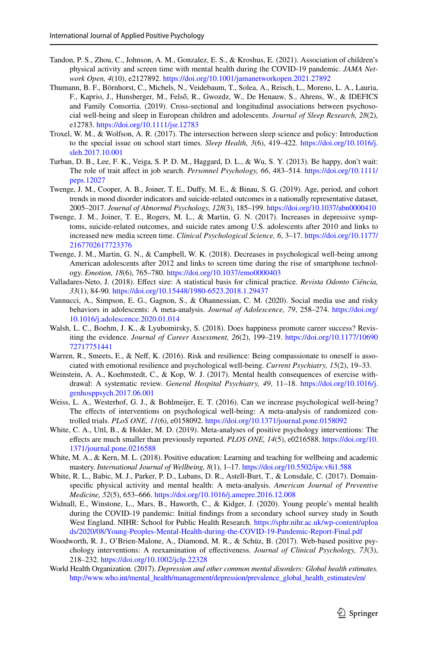- <span id="page-28-8"></span>Tandon, P. S., Zhou, C., Johnson, A. M., Gonzalez, E. S., & Kroshus, E. (2021). Association of children's physical activity and screen time with mental health during the COVID-19 pandemic. *JAMA Network Open, 4*(10), e2127892.<https://doi.org/10.1001/jamanetworkopen.2021.27892>
- <span id="page-28-5"></span>Thumann, B. F., Börnhorst, C., Michels, N., Veidebaum, T., Solea, A., Reisch, L., Moreno, L. A., Lauria, F., Kaprio, J., Hunsberger, M., Felső, R., Gwozdz, W., De Henauw, S., Ahrens, W., & IDEFICS and Family Consortia. (2019). Cross-sectional and longitudinal associations between psychosocial well-being and sleep in European children and adolescents. *Journal of Sleep Research, 28*(2), e12783.<https://doi.org/10.1111/jsr.12783>
- <span id="page-28-17"></span>Troxel, W. M., & Wolfson, A. R. (2017). The intersection between sleep science and policy: Introduction to the special issue on school start times. *Sleep Health, 3*(6), 419–422. [https://doi.org/10.1016/j.](https://doi.org/10.1016/j.sleh.2017.10.001) [sleh.2017.10.001](https://doi.org/10.1016/j.sleh.2017.10.001)
- <span id="page-28-3"></span>Turban, D. B., Lee, F. K., Veiga, S. P. D. M., Haggard, D. L., & Wu, S. Y. (2013). Be happy, don't wait: The role of trait affect in job search. *Personnel Psychology*, 66, 483-514. [https://doi.org/10.1111/](https://doi.org/10.1111/peps.12027) [peps.12027](https://doi.org/10.1111/peps.12027)
- <span id="page-28-1"></span>Twenge, J. M., Cooper, A. B., Joiner, T. E., Dufy, M. E., & Binau, S. G. (2019). Age, period, and cohort trends in mood disorder indicators and suicide-related outcomes in a nationally representative dataset, 2005–2017. *Journal of Abnormal Psychology, 128*(3), 185–199.<https://doi.org/10.1037/abn0000410>
- <span id="page-28-16"></span>Twenge, J. M., Joiner, T. E., Rogers, M. L., & Martin, G. N. (2017). Increases in depressive symptoms, suicide-related outcomes, and suicide rates among U.S. adolescents after 2010 and links to increased new media screen time. *Clinical Psychological Science, 6*, 3–17. [https://doi.org/10.1177/](https://doi.org/10.1177/2167702617723376) [2167702617723376](https://doi.org/10.1177/2167702617723376)
- <span id="page-28-6"></span>Twenge, J. M., Martin, G. N., & Campbell, W. K. (2018). Decreases in psychological well-being among American adolescents after 2012 and links to screen time during the rise of smartphone technology. *Emotion, 18*(6), 765–780.<https://doi.org/10.1037/emo0000403>
- <span id="page-28-14"></span>Valladares-Neto, J. (2018). Efect size: A statistical basis for clinical practice. *Revista Odonto Ciência, 33*(1), 84-90. <https://doi.org/10.15448/1980-6523.2018.1.29437>
- <span id="page-28-7"></span>Vannucci, A., Simpson, E. G., Gagnon, S., & Ohannessian, C. M. (2020). Social media use and risky behaviors in adolescents: A meta-analysis. *Journal of Adolescence, 79*, 258–274. [https://doi.org/](https://doi.org/10.1016/j.adolescence.2020.01.014) [10.1016/j.adolescence.2020.01.014](https://doi.org/10.1016/j.adolescence.2020.01.014)
- <span id="page-28-4"></span>Walsh, L. C., Boehm, J. K., & Lyubomirsky, S. (2018). Does happiness promote career success? Revisiting the evidence. *Journal of Career Assessment, 26*(2), 199–219. [https://doi.org/10.1177/10690](https://doi.org/10.1177/1069072717751441) [72717751441](https://doi.org/10.1177/1069072717751441)
- <span id="page-28-11"></span>Warren, R., Smeets, E., & Neff, K. (2016). Risk and resilience: Being compassionate to oneself is associated with emotional resilience and psychological well-being. *Current Psychiatry, 15*(2), 19–33.
- <span id="page-28-10"></span>Weinstein, A. A., Koehmstedt, C., & Kop, W. J. (2017). Mental health consequences of exercise withdrawal: A systematic review. *General Hospital Psychiatry, 49*, 11–18. [https://doi.org/10.1016/j.](https://doi.org/10.1016/j.genhosppsych.2017.06.001) [genhosppsych.2017.06.001](https://doi.org/10.1016/j.genhosppsych.2017.06.001)
- <span id="page-28-12"></span>Weiss, L. A., Westerhof, G. J., & Bohlmeijer, E. T. (2016). Can we increase psychological well-being? The efects of interventions on psychological well-being: A meta-analysis of randomized controlled trials. *PLoS ONE, 11*(6), e0158092. <https://doi.org/10.1371/journal.pone.0158092>
- <span id="page-28-13"></span>White, C. A., Uttl, B., & Holder, M. D. (2019). Meta-analyses of positive psychology interventions: The efects are much smaller than previously reported. *PLOS ONE, 14*(5), e0216588. [https://doi.org/10.](https://doi.org/10.1371/journal.pone.0216588) [1371/journal.pone.0216588](https://doi.org/10.1371/journal.pone.0216588)
- <span id="page-28-0"></span>White, M. A., & Kern, M. L. (2018). Positive education: Learning and teaching for wellbeing and academic mastery. *International Journal of Wellbeing, 8*(1), 1–17. <https://doi.org/10.5502/ijw.v8i1.588>
- <span id="page-28-9"></span>White, R. L., Babic, M. J., Parker, P. D., Lubans, D. R., Astell-Burt, T., & Lonsdale, C. (2017). Domainspecifc physical activity and mental health: A meta-analysis. *American Journal of Preventive Medicine, 52*(5), 653–666. <https://doi.org/10.1016/j.amepre.2016.12.008>
- <span id="page-28-15"></span>Widnall, E., Winstone, L., Mars, B., Haworth, C., & Kidger, J. (2020). Young people's mental health during the COVID-19 pandemic: Initial fndings from a secondary school survey study in South West England. NIHR: School for Public Health Research. [https://sphr.nihr.ac.uk/wp-content/uploa](https://sphr.nihr.ac.uk/wp-content/uploads/2020/08/Young-Peoples-Mental-Health-during-the-COVID-19-Pandemic-Report-Final.pdf) [ds/2020/08/Young-Peoples-Mental-Health-during-the-COVID-19-Pandemic-Report-Final.pdf](https://sphr.nihr.ac.uk/wp-content/uploads/2020/08/Young-Peoples-Mental-Health-during-the-COVID-19-Pandemic-Report-Final.pdf)
- Woodworth, R. J., O'Brien-Malone, A., Diamond, M. R., & Schüz, B. (2017). Web-based positive psychology interventions: A reexamination of efectiveness. *Journal of Clinical Psychology, 73*(3), 218–232. <https://doi.org/10.1002/jclp.22328>
- <span id="page-28-2"></span>World Health Organization. (2017). *Depression and other common mental disorders: Global health estimates.* [http://www.who.int/mental\\_health/management/depression/prevalence\\_global\\_health\\_estimates/en/](http://www.who.int/mental_health/management/depression/prevalence_global_health_estimates/en/)